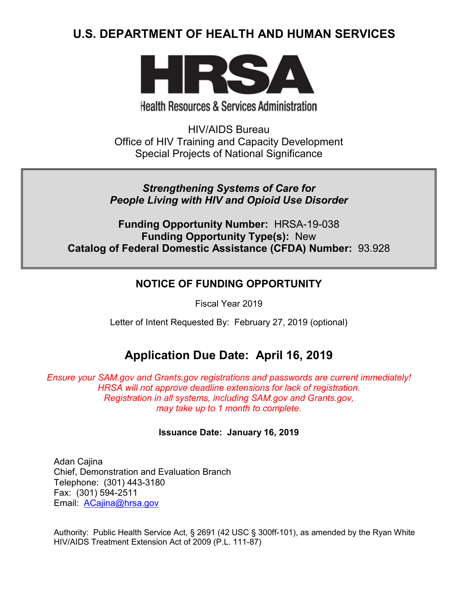# **U.S. DEPARTMENT OF HEALTH AND HUMAN SERVICES**



# **Health Resources & Services Administration**

HIV/AIDS Bureau Office of HIV Training and Capacity Development Special Projects of National Significance

## *Strengthening Systems of Care for People Living with HIV and Opioid Use Disorder*

**Funding Opportunity Number:** HRSA-19-038 **Funding Opportunity Type(s):** New **Catalog of Federal Domestic Assistance (CFDA) Number:** 93.928

## **NOTICE OF FUNDING OPPORTUNITY**

Fiscal Year 2019

Letter of Intent Requested By: February 27, 2019 (optional)

# **Application Due Date: April 16, 2019**

*Ensure your SAM.gov and Grants.gov registrations and passwords are current immediately! HRSA will not approve deadline extensions for lack of registration. Registration in all systems, including SAM.gov and Grants.gov, may take up to 1 month to complete.*

## **Issuance Date:****January 16, 2019**

Adan Cajina Chief, Demonstration and Evaluation Branch Telephone: (301) 443-3180 Fax: (301) 594-2511 Email: [ACajina@hrsa.gov](mailto:ACajina@hrsa.gov)

Authority: Public Health Service Act, § 2691 (42 USC § 300ff-101), as amended by the Ryan White HIV/AIDS Treatment Extension Act of 2009 (P.L. 111-87)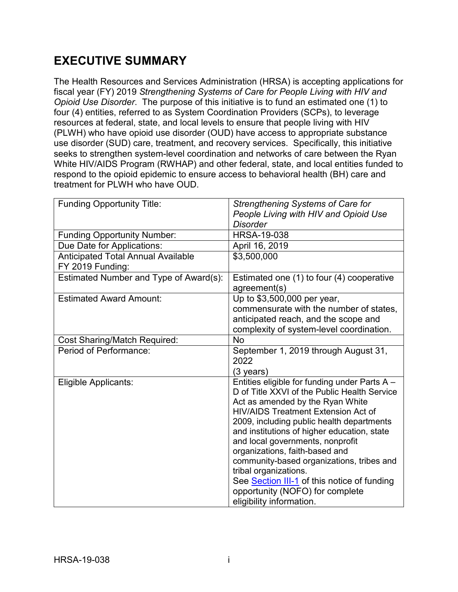# **EXECUTIVE SUMMARY**

The Health Resources and Services Administration (HRSA) is accepting applications for fiscal year (FY) 2019 *Strengthening Systems of Care for People Living with HIV and Opioid Use Disorder*. The purpose of this initiative is to fund an estimated one (1) to four (4) entities, referred to as System Coordination Providers (SCPs), to leverage resources at federal, state, and local levels to ensure that people living with HIV (PLWH) who have opioid use disorder (OUD) have access to appropriate substance use disorder (SUD) care, treatment, and recovery services. Specifically, this initiative seeks to strengthen system-level coordination and networks of care between the Ryan White HIV/AIDS Program (RWHAP) and other federal, state, and local entities funded to respond to the opioid epidemic to ensure access to behavioral health (BH) care and treatment for PLWH who have OUD.

| <b>Funding Opportunity Title:</b>         | Strengthening Systems of Care for             |
|-------------------------------------------|-----------------------------------------------|
|                                           | People Living with HIV and Opioid Use         |
|                                           | <b>Disorder</b>                               |
| <b>Funding Opportunity Number:</b>        | <b>HRSA-19-038</b>                            |
| Due Date for Applications:                | April 16, 2019                                |
| <b>Anticipated Total Annual Available</b> | \$3,500,000                                   |
| FY 2019 Funding:                          |                                               |
| Estimated Number and Type of Award(s):    | Estimated one (1) to four (4) cooperative     |
|                                           | agreement(s)                                  |
| <b>Estimated Award Amount:</b>            | Up to \$3,500,000 per year,                   |
|                                           | commensurate with the number of states,       |
|                                           | anticipated reach, and the scope and          |
|                                           | complexity of system-level coordination.      |
| <b>Cost Sharing/Match Required:</b>       | <b>No</b>                                     |
| Period of Performance:                    | September 1, 2019 through August 31,          |
|                                           | 2022                                          |
|                                           | (3 years)                                     |
| Eligible Applicants:                      | Entities eligible for funding under Parts A - |
|                                           | D of Title XXVI of the Public Health Service  |
|                                           | Act as amended by the Ryan White              |
|                                           | <b>HIV/AIDS Treatment Extension Act of</b>    |
|                                           | 2009, including public health departments     |
|                                           | and institutions of higher education, state   |
|                                           | and local governments, nonprofit              |
|                                           | organizations, faith-based and                |
|                                           | community-based organizations, tribes and     |
|                                           | tribal organizations.                         |
|                                           | See Section III-1 of this notice of funding   |
|                                           | opportunity (NOFO) for complete               |
|                                           | eligibility information.                      |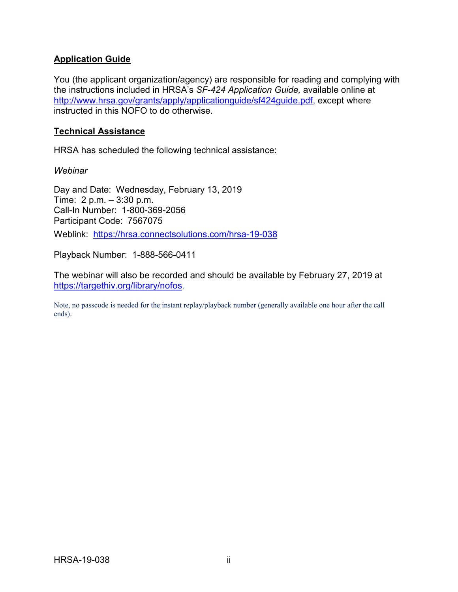#### **Application Guide**

You (the applicant organization/agency) are responsible for reading and complying with the instructions included in HRSA's *SF-424 Application Guide,* available online at [http://www.hrsa.gov/grants/apply/applicationguide/sf424guide.pdf,](http://www.hrsa.gov/grants/apply/applicationguide/sf424guide.pdf) except where instructed in this NOFO to do otherwise.

#### **Technical Assistance**

HRSA has scheduled the following technical assistance:

*Webinar*

Day and Date: Wednesday, February 13, 2019 Time: 2 p.m. – 3:30 p.m. Call-In Number: 1-800-369-2056 Participant Code: 7567075 Weblink: <https://hrsa.connectsolutions.com/hrsa-19-038>

Playback Number: 1-888-566-0411

The webinar will also be recorded and should be available by February 27, 2019 at [https://targethiv.org/library/nofos.](https://targethiv.org/library/nofos)

Note, no passcode is needed for the instant replay/playback number (generally available one hour after the call ends).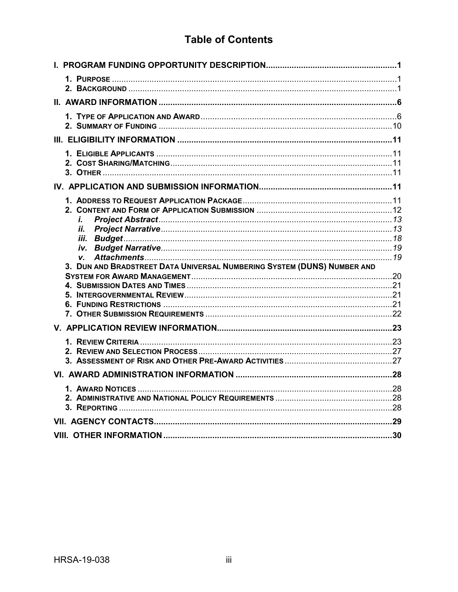# **Table of Contents**

| i.<br>ii.<br>V.<br>3. DUN AND BRADSTREET DATA UNIVERSAL NUMBERING SYSTEM (DUNS) NUMBER AND |  |
|--------------------------------------------------------------------------------------------|--|
|                                                                                            |  |
|                                                                                            |  |
|                                                                                            |  |
|                                                                                            |  |
|                                                                                            |  |
|                                                                                            |  |
|                                                                                            |  |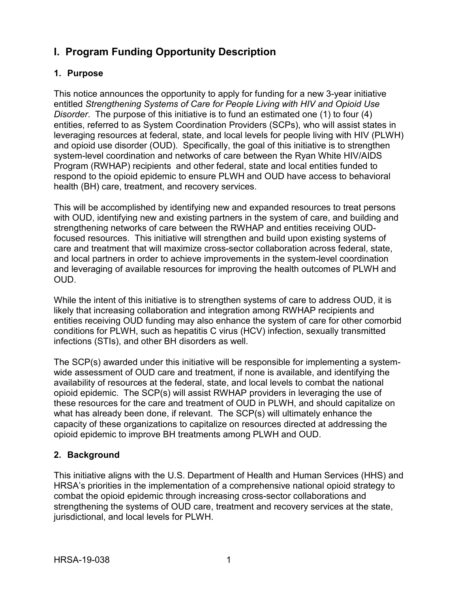# <span id="page-4-0"></span>**I. Program Funding Opportunity Description**

## <span id="page-4-1"></span>**1. Purpose**

This notice announces the opportunity to apply for funding for a new 3-year initiative entitled *Strengthening Systems of Care for People Living with HIV and Opioid Use Disorder*. The purpose of this initiative is to fund an estimated one (1) to four (4) entities, referred to as System Coordination Providers (SCPs), who will assist states in leveraging resources at federal, state, and local levels for people living with HIV (PLWH) and opioid use disorder (OUD). Specifically, the goal of this initiative is to strengthen system-level coordination and networks of care between the Ryan White HIV/AIDS Program (RWHAP) recipients and other federal, state and local entities funded to respond to the opioid epidemic to ensure PLWH and OUD have access to behavioral health (BH) care, treatment, and recovery services.

This will be accomplished by identifying new and expanded resources to treat persons with OUD, identifying new and existing partners in the system of care, and building and strengthening networks of care between the RWHAP and entities receiving OUDfocused resources. This initiative will strengthen and build upon existing systems of care and treatment that will maximize cross-sector collaboration across federal, state, and local partners in order to achieve improvements in the system-level coordination and leveraging of available resources for improving the health outcomes of PLWH and OUD.

While the intent of this initiative is to strengthen systems of care to address OUD, it is likely that increasing collaboration and integration among RWHAP recipients and entities receiving OUD funding may also enhance the system of care for other comorbid conditions for PLWH, such as hepatitis C virus (HCV) infection, sexually transmitted infections (STIs), and other BH disorders as well.

The SCP(s) awarded under this initiative will be responsible for implementing a systemwide assessment of OUD care and treatment, if none is available, and identifying the availability of resources at the federal, state, and local levels to combat the national opioid epidemic. The SCP(s) will assist RWHAP providers in leveraging the use of these resources for the care and treatment of OUD in PLWH, and should capitalize on what has already been done, if relevant. The SCP(s) will ultimately enhance the capacity of these organizations to capitalize on resources directed at addressing the opioid epidemic to improve BH treatments among PLWH and OUD.

## <span id="page-4-2"></span>**2. Background**

This initiative aligns with the U.S. Department of Health and Human Services (HHS) and HRSA's priorities in the implementation of a comprehensive national opioid strategy to combat the opioid epidemic through increasing cross-sector collaborations and strengthening the systems of OUD care, treatment and recovery services at the state, jurisdictional, and local levels for PLWH.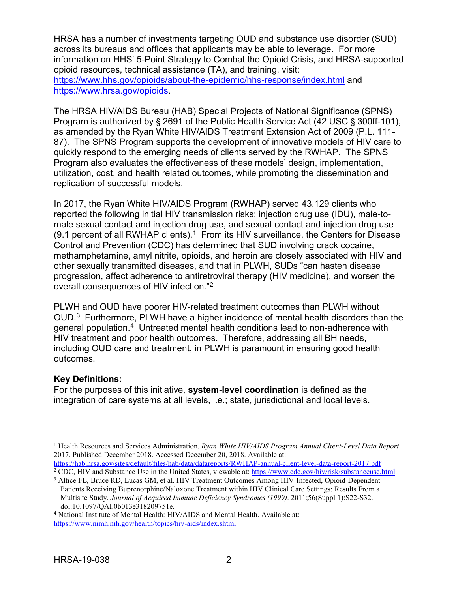HRSA has a number of investments targeting OUD and substance use disorder (SUD) across its bureaus and offices that applicants may be able to leverage. For more information on HHS' 5-Point Strategy to Combat the Opioid Crisis, and HRSA-supported opioid resources, technical assistance (TA), and training, visit: <https://www.hhs.gov/opioids/about-the-epidemic/hhs-response/index.html> and [https://www.hrsa.gov/opioids.](https://www.hrsa.gov/opioids)

The HRSA HIV/AIDS Bureau (HAB) Special Projects of National Significance (SPNS) Program is authorized by § 2691 of the Public Health Service Act (42 USC § 300ff-101), as amended by the Ryan White HIV/AIDS Treatment Extension Act of 2009 (P.L. 111- 87). The SPNS Program supports the development of innovative models of HIV care to quickly respond to the emerging needs of clients served by the RWHAP. The SPNS Program also evaluates the effectiveness of these models' design, implementation, utilization, cost, and health related outcomes, while promoting the dissemination and replication of successful models.

In 2017, the Ryan White HIV/AIDS Program (RWHAP) served 43,129 clients who reported the following initial HIV transmission risks: injection drug use (IDU), male-tomale sexual contact and injection drug use, and sexual contact and injection drug use (9.[1](#page-5-0) percent of all RWHAP clients).<sup>1</sup> From its HIV surveillance, the Centers for Disease Control and Prevention (CDC) has determined that SUD involving crack cocaine, methamphetamine, amyl nitrite, opioids, and heroin are closely associated with HIV and other sexually transmitted diseases, and that in PLWH, SUDs "can hasten disease progression, affect adherence to antiretroviral therapy (HIV medicine), and worsen the overall consequences of HIV infection."[2](#page-5-1)

PLWH and OUD have poorer HIV-related treatment outcomes than PLWH without OUD. $3$  Furthermore, PLWH have a higher incidence of mental health disorders than the general population. [4](#page-5-3) Untreated mental health conditions lead to non-adherence with HIV treatment and poor health outcomes. Therefore, addressing all BH needs, including OUD care and treatment, in PLWH is paramount in ensuring good health outcomes.

## **Key Definitions:**

For the purposes of this initiative, **system-level coordination** is defined as the integration of care systems at all levels, i.e.; state, jurisdictional and local levels.

<span id="page-5-0"></span> <sup>1</sup> Health Resources and Services Administration. *Ryan White HIV/AIDS Program Annual Client-Level Data Report*  2017. Published December 2018. Accessed December 20, 2018. Available at:

<https://hab.hrsa.gov/sites/default/files/hab/data/datareports/RWHAP-annual-client-level-data-report-2017.pdf> <sup>2</sup> CDC, HIV and Substance Use in the United States, viewable at:<https://www.cdc.gov/hiv/risk/substanceuse.html>

<span id="page-5-2"></span><span id="page-5-1"></span><sup>&</sup>lt;sup>3</sup> Altice FL, Bruce RD, Lucas GM, et al. HIV Treatment Outcomes Among HIV-Infected, Opioid-Dependent Patients Receiving Buprenorphine/Naloxone Treatment within HIV Clinical Care Settings: Results From a Multisite Study. *Journal of Acquired Immune Deficiency Syndromes (1999)*. 2011;56(Suppl 1):S22-S32.

<span id="page-5-3"></span><sup>&</sup>lt;sup>4</sup> National Institute of Mental Health: HIV/AIDS and Mental Health. Available at: <https://www.nimh.nih.gov/health/topics/hiv-aids/index.shtml>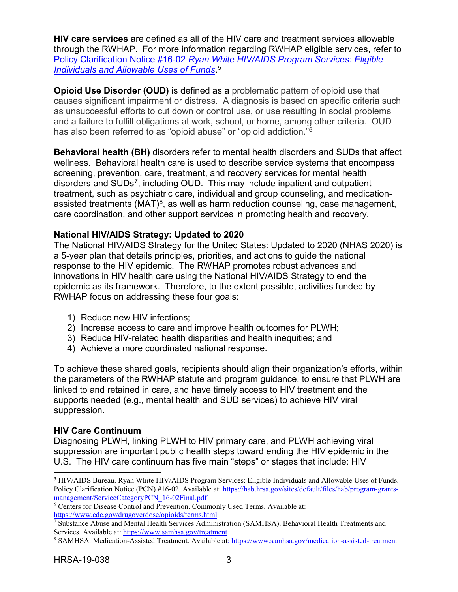**HIV care services** are defined as all of the HIV care and treatment services allowable through the RWHAP. For more information regarding RWHAP eligible services, refer to Policy Clarification Notice #16-02 *[Ryan White HIV/AIDS Program Services: Eligible](https://hab.hrsa.gov/sites/default/files/hab/program-grants-management/ServiceCategoryPCN_16-02Final.pdf)  [Individuals and Allowable Uses of Funds](https://hab.hrsa.gov/sites/default/files/hab/program-grants-management/ServiceCategoryPCN_16-02Final.pdf)*. [5](#page-6-0)

**Opioid Use Disorder (OUD)** is defined as a problematic pattern of opioid use that causes significant impairment or distress. A diagnosis is based on specific criteria such as unsuccessful efforts to cut down or control use, or use resulting in social problems and a failure to fulfill obligations at work, school, or home, among other criteria. OUD has also been referred to as "opioid abuse" or "opioid addiction."<sup>6</sup>

**Behavioral health (BH)** disorders refer to mental health disorders and SUDs that affect wellness. Behavioral health care is used to describe service systems that encompass screening, prevention, care, treatment, and recovery services for mental health disorders and SUDs<sup>[7](#page-6-2)</sup>, including OUD. This may include inpatient and outpatient treatment, such as psychiatric care, individual and group counseling, and medicationassisted treatments  $(MAT)^8$ , as well as harm reduction counseling, case management, care coordination, and other support services in promoting health and recovery.

## **National HIV/AIDS Strategy: Updated to 2020**

The National HIV/AIDS Strategy for the United States: Updated to 2020 (NHAS 2020) is a 5-year plan that details principles, priorities, and actions to guide the national response to the HIV epidemic. The RWHAP promotes robust advances and innovations in HIV health care using the National HIV/AIDS Strategy to end the epidemic as its framework. Therefore, to the extent possible, activities funded by RWHAP focus on addressing these four goals:

- 1) Reduce new HIV infections;
- 2) Increase access to care and improve health outcomes for PLWH;
- 3) Reduce HIV-related health disparities and health inequities; and
- 4) Achieve a more coordinated national response.

To achieve these shared goals, recipients should align their organization's efforts, within the parameters of the RWHAP statute and program guidance, to ensure that PLWH are linked to and retained in care, and have timely access to HIV treatment and the supports needed (e.g., mental health and SUD services) to achieve HIV viral suppression.

## **HIV Care Continuum**

Diagnosing PLWH, linking PLWH to HIV primary care, and PLWH achieving viral suppression are important public health steps toward ending the HIV epidemic in the U.S. The HIV care continuum has five main "steps" or stages that include: HIV

<span id="page-6-0"></span> <sup>5</sup> HIV/AIDS Bureau. Ryan White HIV/AIDS Program Services: Eligible Individuals and Allowable Uses of Funds. Policy Clarification Notice (PCN) #16-02. Available at: [https://hab.hrsa.gov/sites/default/files/hab/program-grants](https://hab.hrsa.gov/sites/default/files/hab/program-grants-management/ServiceCategoryPCN_16-02Final.pdf)[management/ServiceCategoryPCN\\_16-02Final.pdf](https://hab.hrsa.gov/sites/default/files/hab/program-grants-management/ServiceCategoryPCN_16-02Final.pdf)

<span id="page-6-1"></span><sup>6</sup> Centers for Disease Control and Prevention. Commonly Used Terms. Available at: <https://www.cdc.gov/drugoverdose/opioids/terms.html>

<span id="page-6-2"></span><sup>7</sup> Substance Abuse and Mental Health Services Administration (SAMHSA). Behavioral Health Treatments and Services. Available at[: https://www.samhsa.gov/treatment](https://www.samhsa.gov/treatment)

<span id="page-6-3"></span><sup>8</sup> SAMHSA. Medication-Assisted Treatment. Available at[: https://www.samhsa.gov/medication-assisted-treatment](https://www.samhsa.gov/medication-assisted-treatment)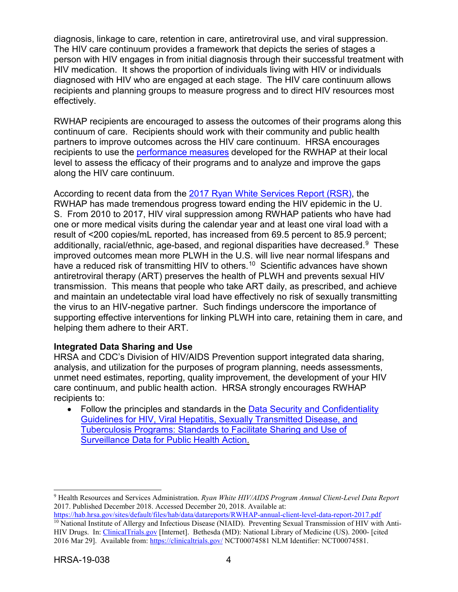diagnosis, linkage to care, retention in care, antiretroviral use, and viral suppression. The HIV care continuum provides a framework that depicts the series of stages a person with HIV engages in from initial diagnosis through their successful treatment with HIV medication. It shows the proportion of individuals living with HIV or individuals diagnosed with HIV who are engaged at each stage. The HIV care continuum allows recipients and planning groups to measure progress and to direct HIV resources most effectively.

RWHAP recipients are encouraged to assess the outcomes of their programs along this continuum of care. Recipients should work with their community and public health partners to improve outcomes across the HIV care continuum. HRSA encourages recipients to use the [performance measures](http://hab.hrsa.gov/deliverhivaidscare/habperformmeasures.html) developed for the RWHAP at their local level to assess the efficacy of their programs and to analyze and improve the gaps along the HIV care continuum.

According to recent data from the [2017 Ryan White Services Report \(RSR\),](https://hab.hrsa.gov/sites/default/files/hab/data/datareports/RWHAP-annual-client-level-data-report-2017.pdf) the RWHAP has made tremendous progress toward ending the HIV epidemic in the U. S. From 2010 to 2017, HIV viral suppression among RWHAP patients who have had one or more medical visits during the calendar year and at least one viral load with a result of <200 copies/mL reported, has increased from 69.5 percent to 85.9 percent; additionally, racial/ethnic, age-based, and regional disparities have decreased. [9](#page-7-0) These improved outcomes mean more PLWH in the U.S. will live near normal lifespans and have a reduced risk of transmitting HIV to others.<sup>[10](#page-7-1)</sup> Scientific advances have shown antiretroviral therapy (ART) preserves the health of PLWH and prevents sexual HIV transmission. This means that people who take ART daily, as prescribed, and achieve and maintain an undetectable viral load have effectively no risk of sexually transmitting the virus to an HIV-negative partner. Such findings underscore the importance of supporting effective interventions for linking PLWH into care, retaining them in care, and helping them adhere to their ART.

## **Integrated Data Sharing and Use**

HRSA and CDC's Division of HIV/AIDS Prevention support integrated data sharing, analysis, and utilization for the purposes of program planning, needs assessments, unmet need estimates, reporting, quality improvement, the development of your HIV care continuum, and public health action. HRSA strongly encourages RWHAP recipients to:

• Follow the principles and standards in the [Data Security and Confidentiality](http://www.cdc.gov/nchhstp/programintegration/docs/pcsidatasecurityguidelines.pdf)  [Guidelines for HIV, Viral](http://www.cdc.gov/nchhstp/programintegration/docs/pcsidatasecurityguidelines.pdf) [Hepatitis, Sexually Transmitted Disease, and](http://www.cdc.gov/nchhstp/programintegration/docs/pcsidatasecurityguidelines.pdf)  [Tuberculosis Programs: Standards to Facilitate](http://www.cdc.gov/nchhstp/programintegration/docs/pcsidatasecurityguidelines.pdf) [Sharing and Use of](http://www.cdc.gov/nchhstp/programintegration/docs/pcsidatasecurityguidelines.pdf)  [Surveillance Data for Public Health Action.](http://www.cdc.gov/nchhstp/programintegration/docs/pcsidatasecurityguidelines.pdf)

<span id="page-7-0"></span> <sup>9</sup> Health Resources and Services Administration. *Ryan White HIV/AIDS Program Annual Client-Level Data Report*  2017. Published December 2018. Accessed December 20, 2018. Available at:

<span id="page-7-1"></span><https://hab.hrsa.gov/sites/default/files/hab/data/datareports/RWHAP-annual-client-level-data-report-2017.pdf> <sup>10</sup> National Institute of Allergy and Infectious Disease (NIAID). Preventing Sexual Transmission of HIV with Anti-HIV Drugs. In: [ClinicalTrials.gov](http://clinicaltrials.gov/) [Internet]. Bethesda (MD): National Library of Medicine (US). 2000- [cited 2016 Mar 29]. Available from[: https://clinicaltrials.gov/](https://clinicaltrials.gov/) NCT00074581 NLM Identifier: NCT00074581.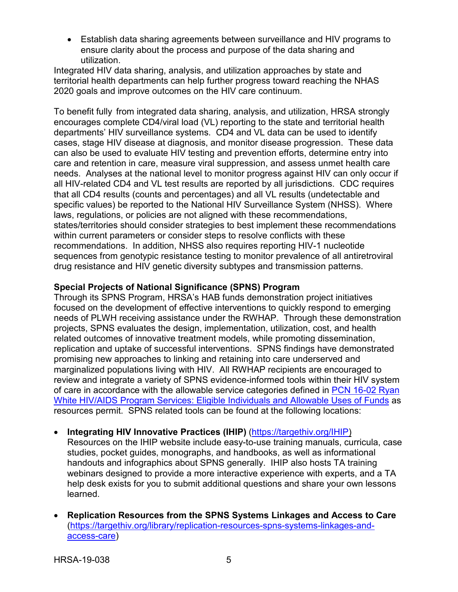• Establish data sharing agreements between surveillance and HIV programs to ensure clarity about the process and purpose of the data sharing and utilization.

Integrated HIV data sharing, analysis, and utilization approaches by state and territorial health departments can help further progress toward reaching the NHAS 2020 goals and improve outcomes on the HIV care continuum.

To benefit fully from integrated data sharing, analysis, and utilization, HRSA strongly encourages complete CD4/viral load (VL) reporting to the state and territorial health departments' HIV surveillance systems. CD4 and VL data can be used to identify cases, stage HIV disease at diagnosis, and monitor disease progression. These data can also be used to evaluate HIV testing and prevention efforts, determine entry into care and retention in care, measure viral suppression, and assess unmet health care needs. Analyses at the national level to monitor progress against HIV can only occur if all HIV-related CD4 and VL test results are reported by all jurisdictions. CDC requires that all CD4 results (counts and percentages) and all VL results (undetectable and specific values) be reported to the National HIV Surveillance System (NHSS). Where laws, regulations, or policies are not aligned with these recommendations, states/territories should consider strategies to best implement these recommendations within current parameters or consider steps to resolve conflicts with these recommendations. In addition, NHSS also requires reporting HIV-1 nucleotide sequences from genotypic resistance testing to monitor prevalence of all antiretroviral drug resistance and HIV genetic diversity subtypes and transmission patterns.

## **Special Projects of National Significance (SPNS) Program**

Through its SPNS Program, HRSA's HAB funds demonstration project initiatives focused on the development of effective interventions to quickly respond to emerging needs of PLWH receiving assistance under the RWHAP. Through these demonstration projects, SPNS evaluates the design, implementation, utilization, cost, and health related outcomes of innovative treatment models, while promoting dissemination, replication and uptake of successful interventions. SPNS findings have demonstrated promising new approaches to linking and retaining into care underserved and marginalized populations living with HIV. All RWHAP recipients are encouraged to review and integrate a variety of SPNS evidence-informed tools within their HIV system of care in accordance with the allowable service categories defined in [PCN 16-02 Ryan](https://hab.hrsa.gov/sites/default/files/hab/program-grants-management/ServiceCategoryPCN_16-02Final.pdf)  [White HIV/AIDS Program Services: Eligible Individuals and Allowable Uses of Funds](https://hab.hrsa.gov/sites/default/files/hab/program-grants-management/ServiceCategoryPCN_16-02Final.pdf) as resources permit. SPNS related tools can be found at the following locations:

• **Integrating HIV Innovative Practices (IHIP)** (https://targethiv.org/IHIP)

Resources on the IHIP website include easy-to-use training manuals, curricula, case studies, pocket guides, monographs, and handbooks, as well as informational handouts and infographics about SPNS generally. IHIP also hosts TA training webinars designed to provide a more interactive experience with experts, and a TA help desk exists for you to submit additional questions and share your own lessons learned.

• **Replication Resources from the SPNS Systems Linkages and Access to Care**  (https://targethiv.org/library/replication-resources-spns-systems-linkages-andaccess-care)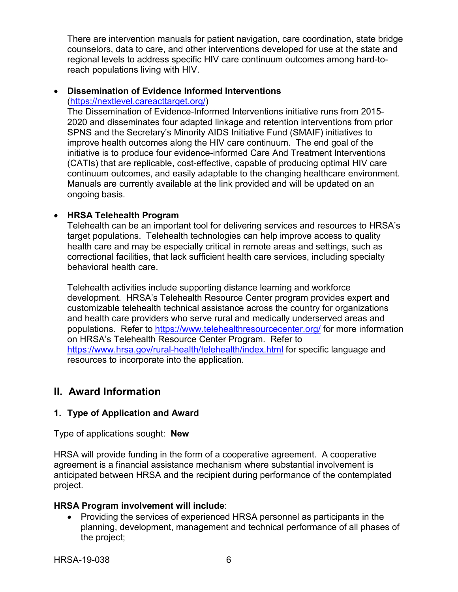There are intervention manuals for patient navigation, care coordination, state bridge counselors, data to care, and other interventions developed for use at the state and regional levels to address specific HIV care continuum outcomes among hard-toreach populations living with HIV.

#### • **Dissemination of Evidence Informed Interventions** [\(https://nextlevel.careacttarget.org/\)](https://nextlevel.careacttarget.org/)

The Dissemination of Evidence-Informed Interventions initiative runs from 2015- 2020 and disseminates four adapted linkage and retention interventions from prior SPNS and the Secretary's Minority AIDS Initiative Fund (SMAIF) initiatives to improve health outcomes along the HIV care continuum. The end goal of the initiative is to produce four evidence-informed Care And Treatment Interventions (CATIs) that are replicable, cost-effective, capable of producing optimal HIV care continuum outcomes, and easily adaptable to the changing healthcare environment. Manuals are currently available at the link provided and will be updated on an ongoing basis.

### • **HRSA Telehealth Program**

Telehealth can be an important tool for delivering services and resources to HRSA's target populations. Telehealth technologies can help improve access to quality health care and may be especially critical in remote areas and settings, such as correctional facilities, that lack sufficient health care services, including specialty behavioral health care.

Telehealth activities include supporting distance learning and workforce development. HRSA's Telehealth Resource Center program provides expert and customizable telehealth technical assistance across the country for organizations and health care providers who serve rural and medically underserved areas and populations. Refer to<https://www.telehealthresourcecenter.org/> for more information on HRSA's Telehealth Resource Center Program. Refer to <https://www.hrsa.gov/rural-health/telehealth/index.html> for specific language and resources to incorporate into the application.

## <span id="page-9-0"></span>**II. Award Information**

## <span id="page-9-1"></span>**1. Type of Application and Award**

Type of applications sought: **New**

HRSA will provide funding in the form of a cooperative agreement. A cooperative agreement is a financial assistance mechanism where substantial involvement is anticipated between HRSA and the recipient during performance of the contemplated project.

#### **HRSA Program involvement will include**:

• Providing the services of experienced HRSA personnel as participants in the planning, development, management and technical performance of all phases of the project;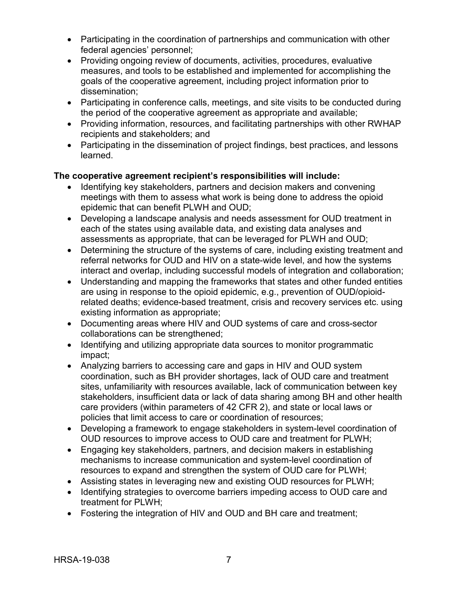- Participating in the coordination of partnerships and communication with other federal agencies' personnel;
- Providing ongoing review of documents, activities, procedures, evaluative measures, and tools to be established and implemented for accomplishing the goals of the cooperative agreement, including project information prior to dissemination;
- Participating in conference calls, meetings, and site visits to be conducted during the period of the cooperative agreement as appropriate and available;
- Providing information, resources, and facilitating partnerships with other RWHAP recipients and stakeholders; and
- Participating in the dissemination of project findings, best practices, and lessons learned.

## **The cooperative agreement recipient's responsibilities will include:**

- Identifying key stakeholders, partners and decision makers and convening meetings with them to assess what work is being done to address the opioid epidemic that can benefit PLWH and OUD;
- Developing a landscape analysis and needs assessment for OUD treatment in each of the states using available data, and existing data analyses and assessments as appropriate, that can be leveraged for PLWH and OUD;
- Determining the structure of the systems of care, including existing treatment and referral networks for OUD and HIV on a state-wide level, and how the systems interact and overlap, including successful models of integration and collaboration;
- Understanding and mapping the frameworks that states and other funded entities are using in response to the opioid epidemic, e.g., prevention of OUD/opioidrelated deaths; evidence-based treatment, crisis and recovery services etc. using existing information as appropriate;
- Documenting areas where HIV and OUD systems of care and cross-sector collaborations can be strengthened;
- Identifying and utilizing appropriate data sources to monitor programmatic impact;
- Analyzing barriers to accessing care and gaps in HIV and OUD system coordination, such as BH provider shortages, lack of OUD care and treatment sites, unfamiliarity with resources available, lack of communication between key stakeholders, insufficient data or lack of data sharing among BH and other health care providers (within parameters of 42 CFR 2), and state or local laws or policies that limit access to care or coordination of resources;
- Developing a framework to engage stakeholders in system-level coordination of OUD resources to improve access to OUD care and treatment for PLWH;
- Engaging key stakeholders, partners, and decision makers in establishing mechanisms to increase communication and system-level coordination of resources to expand and strengthen the system of OUD care for PLWH;
- Assisting states in leveraging new and existing OUD resources for PLWH;
- Identifying strategies to overcome barriers impeding access to OUD care and treatment for PLWH;
- Fostering the integration of HIV and OUD and BH care and treatment;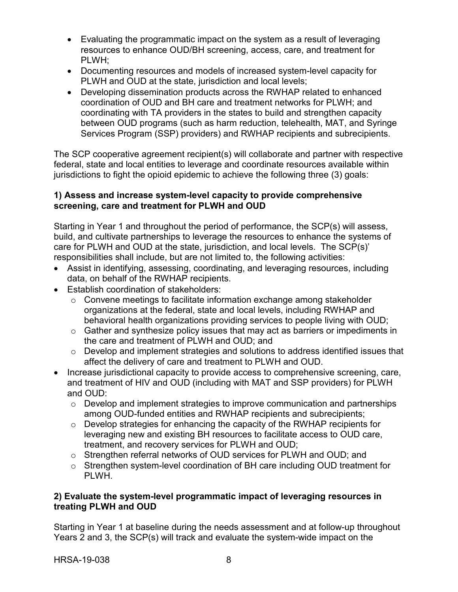- Evaluating the programmatic impact on the system as a result of leveraging resources to enhance OUD/BH screening, access, care, and treatment for PLWH;
- Documenting resources and models of increased system-level capacity for PLWH and OUD at the state, jurisdiction and local levels;
- Developing dissemination products across the RWHAP related to enhanced coordination of OUD and BH care and treatment networks for PLWH; and coordinating with TA providers in the states to build and strengthen capacity between OUD programs (such as harm reduction, telehealth, MAT, and Syringe Services Program (SSP) providers) and RWHAP recipients and subrecipients.

The SCP cooperative agreement recipient(s) will collaborate and partner with respective federal, state and local entities to leverage and coordinate resources available within jurisdictions to fight the opioid epidemic to achieve the following three (3) goals:

### **1) Assess and increase system-level capacity to provide comprehensive screening, care and treatment for PLWH and OUD**

Starting in Year 1 and throughout the period of performance, the SCP(s) will assess, build, and cultivate partnerships to leverage the resources to enhance the systems of care for PLWH and OUD at the state, jurisdiction, and local levels. The SCP(s)' responsibilities shall include, but are not limited to, the following activities:

- Assist in identifying, assessing, coordinating, and leveraging resources, including data, on behalf of the RWHAP recipients.
- Establish coordination of stakeholders:
	- o Convene meetings to facilitate information exchange among stakeholder organizations at the federal, state and local levels, including RWHAP and behavioral health organizations providing services to people living with OUD;
	- $\circ$  Gather and synthesize policy issues that may act as barriers or impediments in the care and treatment of PLWH and OUD; and
	- o Develop and implement strategies and solutions to address identified issues that affect the delivery of care and treatment to PLWH and OUD.
- Increase jurisdictional capacity to provide access to comprehensive screening, care, and treatment of HIV and OUD (including with MAT and SSP providers) for PLWH and OUD:
	- $\circ$  Develop and implement strategies to improve communication and partnerships among OUD-funded entities and RWHAP recipients and subrecipients;
	- o Develop strategies for enhancing the capacity of the RWHAP recipients for leveraging new and existing BH resources to facilitate access to OUD care, treatment, and recovery services for PLWH and OUD;
	- $\circ$  Strengthen referral networks of OUD services for PLWH and OUD; and
	- $\circ$  Strengthen system-level coordination of BH care including OUD treatment for PLWH.

### **2) Evaluate the system-level programmatic impact of leveraging resources in treating PLWH and OUD**

Starting in Year 1 at baseline during the needs assessment and at follow-up throughout Years 2 and 3, the SCP(s) will track and evaluate the system-wide impact on the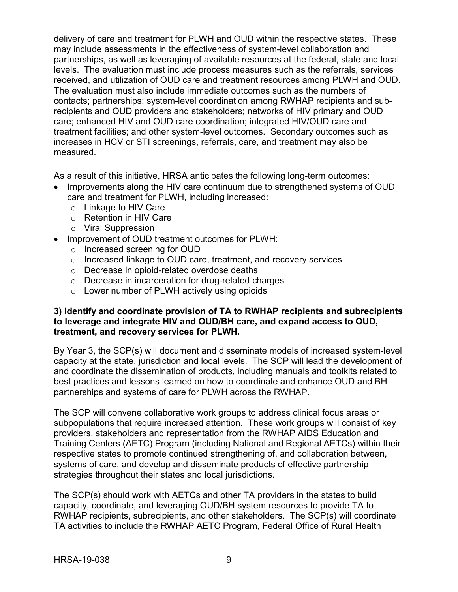delivery of care and treatment for PLWH and OUD within the respective states. These may include assessments in the effectiveness of system-level collaboration and partnerships, as well as leveraging of available resources at the federal, state and local levels. The evaluation must include process measures such as the referrals, services received, and utilization of OUD care and treatment resources among PLWH and OUD. The evaluation must also include immediate outcomes such as the numbers of contacts; partnerships; system-level coordination among RWHAP recipients and subrecipients and OUD providers and stakeholders; networks of HIV primary and OUD care; enhanced HIV and OUD care coordination; integrated HIV/OUD care and treatment facilities; and other system-level outcomes. Secondary outcomes such as increases in HCV or STI screenings, referrals, care, and treatment may also be measured.

As a result of this initiative, HRSA anticipates the following long-term outcomes:

- Improvements along the HIV care continuum due to strengthened systems of OUD care and treatment for PLWH, including increased:
	- o Linkage to HIV Care
	- o Retention in HIV Care
	- o Viral Suppression
- Improvement of OUD treatment outcomes for PLWH:
	- o Increased screening for OUD
	- o Increased linkage to OUD care, treatment, and recovery services
	- o Decrease in opioid-related overdose deaths
	- o Decrease in incarceration for drug-related charges
	- o Lower number of PLWH actively using opioids

#### **3) Identify and coordinate provision of TA to RWHAP recipients and subrecipients to leverage and integrate HIV and OUD/BH care, and expand access to OUD, treatment, and recovery services for PLWH.**

By Year 3, the SCP(s) will document and disseminate models of increased system-level capacity at the state, jurisdiction and local levels. The SCP will lead the development of and coordinate the dissemination of products, including manuals and toolkits related to best practices and lessons learned on how to coordinate and enhance OUD and BH partnerships and systems of care for PLWH across the RWHAP.

The SCP will convene collaborative work groups to address clinical focus areas or subpopulations that require increased attention. These work groups will consist of key providers, stakeholders and representation from the RWHAP AIDS Education and Training Centers (AETC) Program (including National and Regional AETCs) within their respective states to promote continued strengthening of, and collaboration between, systems of care, and develop and disseminate products of effective partnership strategies throughout their states and local jurisdictions.

The SCP(s) should work with AETCs and other TA providers in the states to build capacity, coordinate, and leveraging OUD/BH system resources to provide TA to RWHAP recipients, subrecipients, and other stakeholders. The SCP(s) will coordinate TA activities to include the RWHAP AETC Program, Federal Office of Rural Health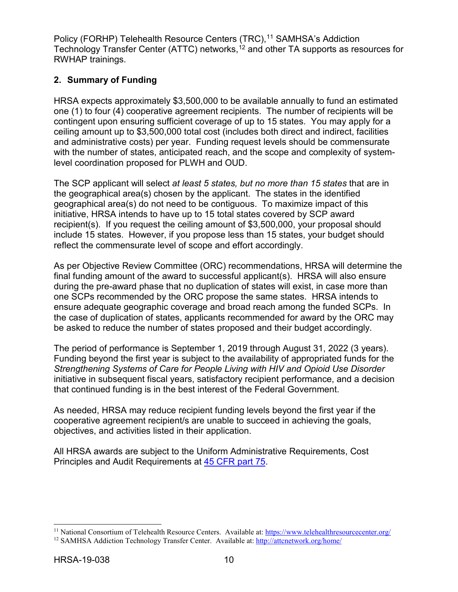Policy (FORHP) Telehealth Resource Centers (TRC),<sup>[11](#page-13-1)</sup> SAMHSA's Addiction Technology Transfer Center (ATTC) networks, [12](#page-13-2) and other TA supports as resources for RWHAP trainings.

## <span id="page-13-0"></span>**2. Summary of Funding**

HRSA expects approximately \$3,500,000 to be available annually to fund an estimated one (1) to four (4) cooperative agreement recipients. The number of recipients will be contingent upon ensuring sufficient coverage of up to 15 states. You may apply for a ceiling amount up to \$3,500,000 total cost (includes both direct and indirect, facilities and administrative costs) per year. Funding request levels should be commensurate with the number of states, anticipated reach, and the scope and complexity of systemlevel coordination proposed for PLWH and OUD.

The SCP applicant will select *at least 5 states, but no more than 15 states* that are in the geographical area(s) chosen by the applicant. The states in the identified geographical area(s) do not need to be contiguous. To maximize impact of this initiative, HRSA intends to have up to 15 total states covered by SCP award recipient(s). If you request the ceiling amount of \$3,500,000, your proposal should include 15 states. However, if you propose less than 15 states, your budget should reflect the commensurate level of scope and effort accordingly.

As per Objective Review Committee (ORC) recommendations, HRSA will determine the final funding amount of the award to successful applicant(s). HRSA will also ensure during the pre-award phase that no duplication of states will exist, in case more than one SCPs recommended by the ORC propose the same states. HRSA intends to ensure adequate geographic coverage and broad reach among the funded SCPs. In the case of duplication of states, applicants recommended for award by the ORC may be asked to reduce the number of states proposed and their budget accordingly.

The period of performance is September 1, 2019 through August 31, 2022 (3 years). Funding beyond the first year is subject to the availability of appropriated funds for the *Strengthening Systems of Care for People Living with HIV and Opioid Use Disorder* initiative in subsequent fiscal years, satisfactory recipient performance, and a decision that continued funding is in the best interest of the Federal Government.

As needed, HRSA may reduce recipient funding levels beyond the first year if the cooperative agreement recipient/s are unable to succeed in achieving the goals, objectives, and activities listed in their application.

All HRSA awards are subject to the Uniform Administrative Requirements, Cost Principles and Audit Requirements at [45 CFR part 75.](http://www.ecfr.gov/cgi-bin/retrieveECFR?gp=1&SID=4d52364ec83fab994c665943dadf9cf7&ty=HTML&h=L&r=PART&n=pt45.1.75)

<span id="page-13-1"></span><sup>&</sup>lt;sup>11</sup> National Consortium of Telehealth Resource Centers. Available at:<https://www.telehealthresourcecenter.org/>

<span id="page-13-2"></span><sup>&</sup>lt;sup>12</sup> SAMHSA Addiction Technology Transfer Center. Available at:<http://attcnetwork.org/home/>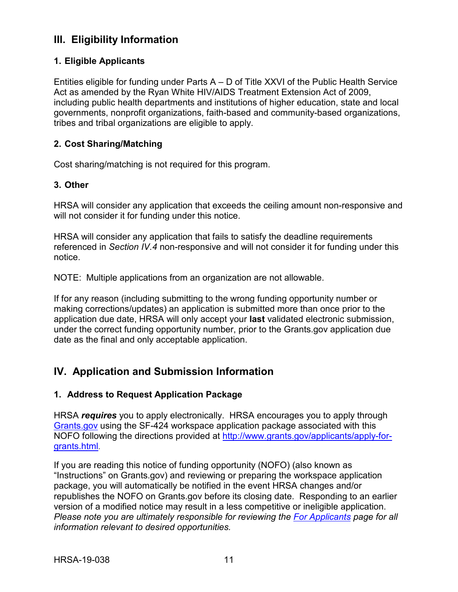## <span id="page-14-1"></span>**III. Eligibility Information**

## <span id="page-14-0"></span>**1. Eligible Applicants**

Entities eligible for funding under Parts A – D of Title XXVI of the Public Health Service Act as amended by the Ryan White HIV/AIDS Treatment Extension Act of 2009, including public health departments and institutions of higher education, state and local governments, nonprofit organizations, faith-based and community-based organizations, tribes and tribal organizations are eligible to apply.

## <span id="page-14-2"></span>**2. Cost Sharing/Matching**

Cost sharing/matching is not required for this program.

## <span id="page-14-3"></span>**3. Other**

HRSA will consider any application that exceeds the ceiling amount non-responsive and will not consider it for funding under this notice.

HRSA will consider any application that fails to satisfy the deadline requirements referenced in *Section IV.4* non-responsive and will not consider it for funding under this notice.

NOTE: Multiple applications from an organization are not allowable.

If for any reason (including submitting to the wrong funding opportunity number or making corrections/updates) an application is submitted more than once prior to the application due date, HRSA will only accept your **last** validated electronic submission, under the correct funding opportunity number, prior to the Grants.gov application due date as the final and only acceptable application.

## <span id="page-14-4"></span>**IV. Application and Submission Information**

## <span id="page-14-5"></span>**1. Address to Request Application Package**

HRSA *requires* you to apply electronically. HRSA encourages you to apply through [Grants.gov](https://www.grants.gov/) using the SF-424 workspace application package associated with this NOFO following the directions provided at [http://www.grants.gov/applicants/apply-for](http://www.grants.gov/applicants/apply-for-grants.html)[grants.html.](http://www.grants.gov/applicants/apply-for-grants.html)

If you are reading this notice of funding opportunity (NOFO) (also known as "Instructions" on Grants.gov) and reviewing or preparing the workspace application package, you will automatically be notified in the event HRSA changes and/or republishes the NOFO on Grants.gov before its closing date. Responding to an earlier version of a modified notice may result in a less competitive or ineligible application. *Please note you are ultimately responsible for reviewing the [For Applicants](https://www.grants.gov/web/grants/applicants.html) page for all information relevant to desired opportunities.*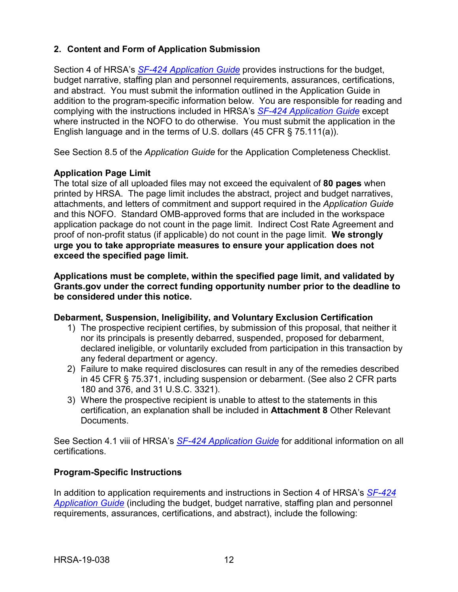## <span id="page-15-0"></span>**2. Content and Form of Application Submission**

Section 4 of HRSA's *SF-424 [Application Guide](http://www.hrsa.gov/grants/apply/applicationguide/sf424guide.pdf)* provides instructions for the budget, budget narrative, staffing plan and personnel requirements, assurances, certifications, and abstract. You must submit the information outlined in the Application Guide in addition to the program-specific information below. You are responsible for reading and complying with the instructions included in HRSA's *SF-424 [Application Guide](http://www.hrsa.gov/grants/apply/applicationguide/sf424guide.pdf)* except where instructed in the NOFO to do otherwise. You must submit the application in the English language and in the terms of U.S. dollars (45 CFR § 75.111(a)).

See Section 8.5 of the *Application Guide* for the Application Completeness Checklist.

### **Application Page Limit**

The total size of all uploaded files may not exceed the equivalent of **80 pages** when printed by HRSA. The page limit includes the abstract, project and budget narratives, attachments, and letters of commitment and support required in the *Application Guide* and this NOFO. Standard OMB-approved forms that are included in the workspace application package do not count in the page limit. Indirect Cost Rate Agreement and proof of non-profit status (if applicable) do not count in the page limit. **We strongly urge you to take appropriate measures to ensure your application does not exceed the specified page limit.**

**Applications must be complete, within the specified page limit, and validated by Grants.gov under the correct funding opportunity number prior to the deadline to be considered under this notice.**

#### **Debarment, Suspension, Ineligibility, and Voluntary Exclusion Certification**

- 1) The prospective recipient certifies, by submission of this proposal, that neither it nor its principals is presently debarred, suspended, proposed for debarment, declared ineligible, or voluntarily excluded from participation in this transaction by any federal department or agency.
- 2) Failure to make required disclosures can result in any of the remedies described in 45 CFR § 75.371, including suspension or debarment. (See also 2 CFR parts 180 and 376, and 31 U.S.C. 3321).
- 3) Where the prospective recipient is unable to attest to the statements in this certification, an explanation shall be included in **Attachment 8** Other Relevant Documents.

See Section 4.1 viii of HRSA's *SF-424 [Application Guide](http://www.hrsa.gov/grants/apply/applicationguide/sf424guide.pdf)* for additional information on all certifications.

## **Program-Specific Instructions**

In addition to application requirements and instructions in Section 4 of HRSA's *[SF-424](http://www.hrsa.gov/grants/apply/applicationguide/sf424guide.pdf) [Application Guide](http://www.hrsa.gov/grants/apply/applicationguide/sf424guide.pdf)* (including the budget, budget narrative, staffing plan and personnel requirements, assurances, certifications, and abstract), include the following: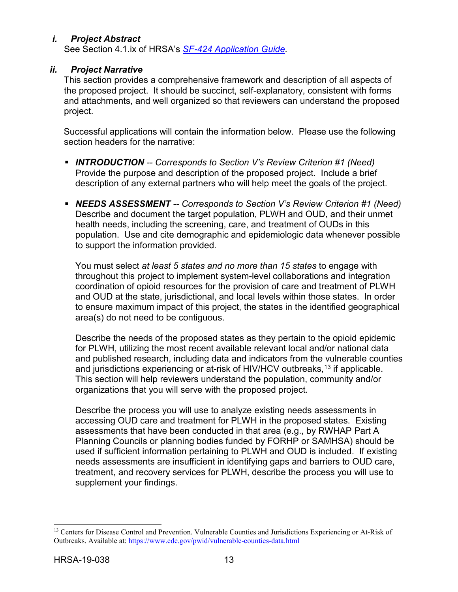## <span id="page-16-0"></span>*i. Project Abstract*

See Section 4.1.ix of HRSA's *SF-424 [Application Guide.](http://www.hrsa.gov/grants/apply/applicationguide/sf424guide.pdf)*

#### <span id="page-16-1"></span>*ii. Project Narrative*

This section provides a comprehensive framework and description of all aspects of the proposed project. It should be succinct, self-explanatory, consistent with forms and attachments, and well organized so that reviewers can understand the proposed project.

Successful applications will contain the information below. Please use the following section headers for the narrative:

- *INTRODUCTION -- Corresponds to Section V's Review Criterion #1 (Need)* Provide the purpose and description of the proposed project. Include a brief description of any external partners who will help meet the goals of the project.
- *NEEDS ASSESSMENT -- Corresponds to Section V's Review Criterion #1 (Need)* Describe and document the target population, PLWH and OUD, and their unmet health needs, including the screening, care, and treatment of OUDs in this population. Use and cite demographic and epidemiologic data whenever possible to support the information provided.

You must select *at least 5 states and no more than 15 states* to engage with throughout this project to implement system-level collaborations and integration coordination of opioid resources for the provision of care and treatment of PLWH and OUD at the state, jurisdictional, and local levels within those states. In order to ensure maximum impact of this project, the states in the identified geographical area(s) do not need to be contiguous.

Describe the needs of the proposed states as they pertain to the opioid epidemic for PLWH, utilizing the most recent available relevant local and/or national data and published research, including data and indicators from the vulnerable counties and jurisdictions experiencing or at-risk of HIV/HCV outbreaks, [13](#page-16-2) if applicable. This section will help reviewers understand the population, community and/or organizations that you will serve with the proposed project.

Describe the process you will use to analyze existing needs assessments in accessing OUD care and treatment for PLWH in the proposed states. Existing assessments that have been conducted in that area (e.g., by RWHAP Part A Planning Councils or planning bodies funded by FORHP or SAMHSA) should be used if sufficient information pertaining to PLWH and OUD is included. If existing needs assessments are insufficient in identifying gaps and barriers to OUD care, treatment, and recovery services for PLWH, describe the process you will use to supplement your findings.

<span id="page-16-2"></span><sup>&</sup>lt;sup>13</sup> Centers for Disease Control and Prevention. Vulnerable Counties and Jurisdictions Experiencing or At-Risk of Outbreaks. Available at:<https://www.cdc.gov/pwid/vulnerable-counties-data.html>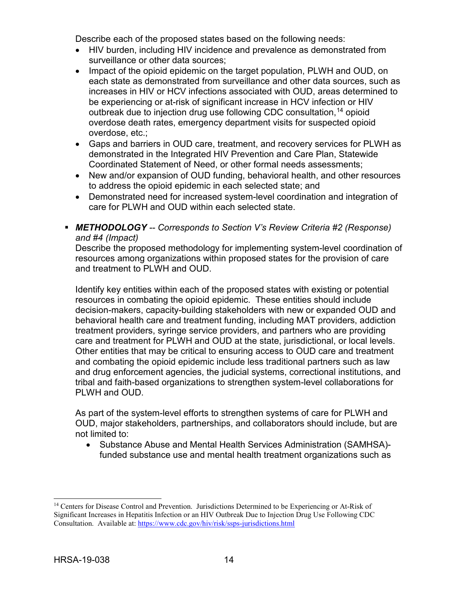Describe each of the proposed states based on the following needs:

- HIV burden, including HIV incidence and prevalence as demonstrated from surveillance or other data sources;
- Impact of the opioid epidemic on the target population, PLWH and OUD, on each state as demonstrated from surveillance and other data sources, such as increases in HIV or HCV infections associated with OUD, areas determined to be experiencing or at-risk of significant increase in HCV infection or HIV outbreak due to injection drug use following CDC consultation, [14](#page-17-0) opioid overdose death rates, emergency department visits for suspected opioid overdose, etc.;
- Gaps and barriers in OUD care, treatment, and recovery services for PLWH as demonstrated in the Integrated HIV Prevention and Care Plan, Statewide Coordinated Statement of Need, or other formal needs assessments;
- New and/or expansion of OUD funding, behavioral health, and other resources to address the opioid epidemic in each selected state; and
- Demonstrated need for increased system-level coordination and integration of care for PLWH and OUD within each selected state.
- *METHODOLOGY -- Corresponds to Section V's Review Criteria #2 (Response) and #4 (Impact)*

Describe the proposed methodology for implementing system-level coordination of resources among organizations within proposed states for the provision of care and treatment to PLWH and OUD.

Identify key entities within each of the proposed states with existing or potential resources in combating the opioid epidemic. These entities should include decision-makers, capacity-building stakeholders with new or expanded OUD and behavioral health care and treatment funding, including MAT providers, addiction treatment providers, syringe service providers, and partners who are providing care and treatment for PLWH and OUD at the state, jurisdictional, or local levels. Other entities that may be critical to ensuring access to OUD care and treatment and combating the opioid epidemic include less traditional partners such as law and drug enforcement agencies, the judicial systems, correctional institutions, and tribal and faith-based organizations to strengthen system-level collaborations for PLWH and OUD.

As part of the system-level efforts to strengthen systems of care for PLWH and OUD, major stakeholders, partnerships, and collaborators should include, but are not limited to:

• Substance Abuse and Mental Health Services Administration (SAMHSA) funded substance use and mental health treatment organizations such as

<span id="page-17-0"></span><sup>&</sup>lt;sup>14</sup> Centers for Disease Control and Prevention. Jurisdictions Determined to be Experiencing or At-Risk of Significant Increases in Hepatitis Infection or an HIV Outbreak Due to Injection Drug Use Following CDC Consultation. Available at:<https://www.cdc.gov/hiv/risk/ssps-jurisdictions.html>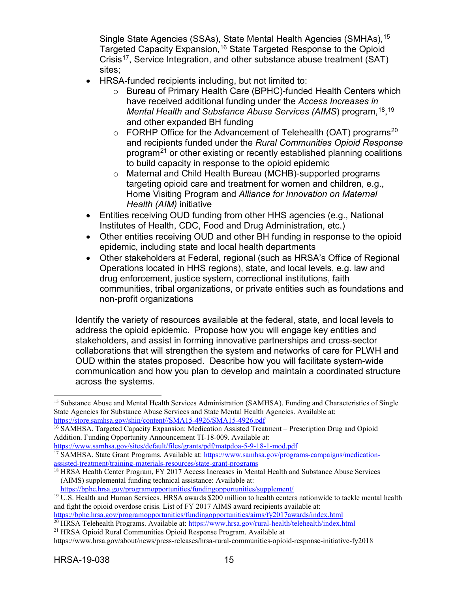Single State Agencies (SSAs), State Mental Health Agencies (SMHAs), [15](#page-18-0) Targeted Capacity Expansion, [16](#page-18-1) State Targeted Response to the Opioid Crisis<sup>17</sup>, Service Integration, and other substance abuse treatment (SAT) sites;

- HRSA-funded recipients including, but not limited to:
	- o Bureau of Primary Health Care (BPHC)-funded Health Centers which have received additional funding under the *Access Increases in Mental Health and Substance Abuse Services (AIMS*) program, [18,](#page-18-3) [19](#page-18-4) and other expanded BH funding
	- $\circ$  FORHP Office for the Advancement of Telehealth (OAT) programs<sup>[20](#page-18-5)</sup> and recipients funded under the *Rural Communities Opioid Response* program[21](#page-18-6) or other existing or recently established planning coalitions to build capacity in response to the opioid epidemic
	- o Maternal and Child Health Bureau (MCHB)-supported programs targeting opioid care and treatment for women and children, e.g., Home Visiting Program and *Alliance for Innovation on Maternal Health (AIM)* initiative
- Entities receiving OUD funding from other HHS agencies (e.g., National Institutes of Health, CDC, Food and Drug Administration, etc.)
- Other entities receiving OUD and other BH funding in response to the opioid epidemic, including state and local health departments
- Other stakeholders at Federal, regional (such as HRSA's Office of Regional Operations located in HHS regions), state, and local levels, e.g. law and drug enforcement, justice system, correctional institutions, faith communities, tribal organizations, or private entities such as foundations and non-profit organizations

Identify the variety of resources available at the federal, state, and local levels to address the opioid epidemic. Propose how you will engage key entities and stakeholders, and assist in forming innovative partnerships and cross-sector collaborations that will strengthen the system and networks of care for PLWH and OUD within the states proposed. Describe how you will facilitate system-wide communication and how you plan to develop and maintain a coordinated structure across the systems.

<https://bphc.hrsa.gov/programopportunities/fundingopportunities/supplement/>

<span id="page-18-0"></span><sup>&</sup>lt;sup>15</sup> Substance Abuse and Mental Health Services Administration (SAMHSA). Funding and Characteristics of Single State Agencies for Substance Abuse Services and State Mental Health Agencies. Available at: [https://store.samhsa.gov/shin/content//SMA15-4926/SMA15-4926.pdf](https://store.samhsa.gov/shin/content/SMA15-4926/SMA15-4926.pdf)

<span id="page-18-1"></span><sup>16</sup> SAMHSA. Targeted Capacity Expansion: Medication Assisted Treatment – Prescription Drug and Opioid Addition. Funding Opportunity Announcement TI-18-009. Available at:

<span id="page-18-2"></span><https://www.samhsa.gov/sites/default/files/grants/pdf/matpdoa-5-9-18-1-mod.pdf> <sup>17</sup> SAMHSA. State Grant Programs. Available at[: https://www.samhsa.gov/programs-campaigns/medication-](https://www.samhsa.gov/programs-campaigns/medication-assisted-treatment/training-materials-resources/state-grant-programs)

[assisted-treatment/training-materials-resources/state-grant-programs](https://www.samhsa.gov/programs-campaigns/medication-assisted-treatment/training-materials-resources/state-grant-programs)

<span id="page-18-3"></span><sup>&</sup>lt;sup>18</sup> HRSA Health Center Program, FY 2017 Access Increases in Mental Health and Substance Abuse Services (AIMS) supplemental funding technical assistance: Available at:

<span id="page-18-4"></span><sup>&</sup>lt;sup>19</sup> U.S. Health and Human Services. HRSA awards \$200 million to health centers nationwide to tackle mental health and fight the opioid overdose crisis. List of FY 2017 AIMS award recipients available at:

<https://bphc.hrsa.gov/programopportunities/fundingopportunities/aims/fy2017awards/index.html> <sup>20</sup> HRSA Telehealth Programs. Available at:<https://www.hrsa.gov/rural-health/telehealth/index.html>

<span id="page-18-6"></span><span id="page-18-5"></span><sup>21</sup> HRSA Opioid Rural Communities Opioid Response Program. Available at

<https://www.hrsa.gov/about/news/press-releases/hrsa-rural-communities-opioid-response-initiative-fy2018>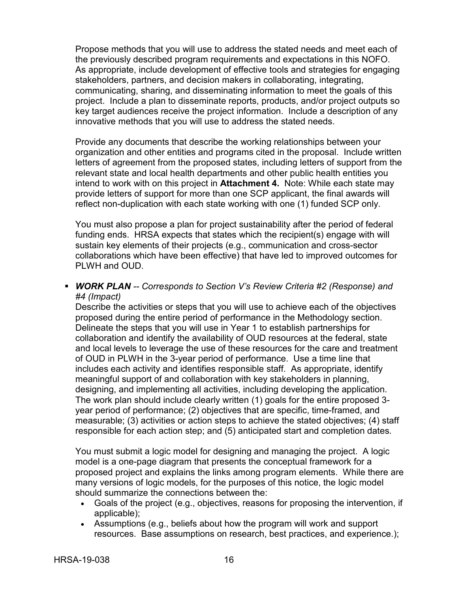Propose methods that you will use to address the stated needs and meet each of the previously described program requirements and expectations in this NOFO. As appropriate, include development of effective tools and strategies for engaging stakeholders, partners, and decision makers in collaborating, integrating, communicating, sharing, and disseminating information to meet the goals of this project. Include a plan to disseminate reports, products, and/or project outputs so key target audiences receive the project information. Include a description of any innovative methods that you will use to address the stated needs.

Provide any documents that describe the working relationships between your organization and other entities and programs cited in the proposal. Include written letters of agreement from the proposed states, including letters of support from the relevant state and local health departments and other public health entities you intend to work with on this project in **Attachment 4.** Note: While each state may provide letters of support for more than one SCP applicant, the final awards will reflect non-duplication with each state working with one (1) funded SCP only.

You must also propose a plan for project sustainability after the period of federal funding ends. HRSA expects that states which the recipient(s) engage with will sustain key elements of their projects (e.g., communication and cross-sector collaborations which have been effective) that have led to improved outcomes for PLWH and OUD.

 *WORK PLAN -- Corresponds to Section V's Review Criteria #2 (Response) and #4 (Impact)*

Describe the activities or steps that you will use to achieve each of the objectives proposed during the entire period of performance in the Methodology section. Delineate the steps that you will use in Year 1 to establish partnerships for collaboration and identify the availability of OUD resources at the federal, state and local levels to leverage the use of these resources for the care and treatment of OUD in PLWH in the 3-year period of performance. Use a time line that includes each activity and identifies responsible staff. As appropriate, identify meaningful support of and collaboration with key stakeholders in planning, designing, and implementing all activities, including developing the application. The work plan should include clearly written (1) goals for the entire proposed 3 year period of performance; (2) objectives that are specific, time-framed, and measurable; (3) activities or action steps to achieve the stated objectives; (4) staff responsible for each action step; and (5) anticipated start and completion dates.

You must submit a logic model for designing and managing the project. A logic model is a one-page diagram that presents the conceptual framework for a proposed project and explains the links among program elements. While there are many versions of logic models, for the purposes of this notice, the logic model should summarize the connections between the:

- Goals of the project (e.g., objectives, reasons for proposing the intervention, if applicable);
- Assumptions (e.g., beliefs about how the program will work and support resources. Base assumptions on research, best practices, and experience.);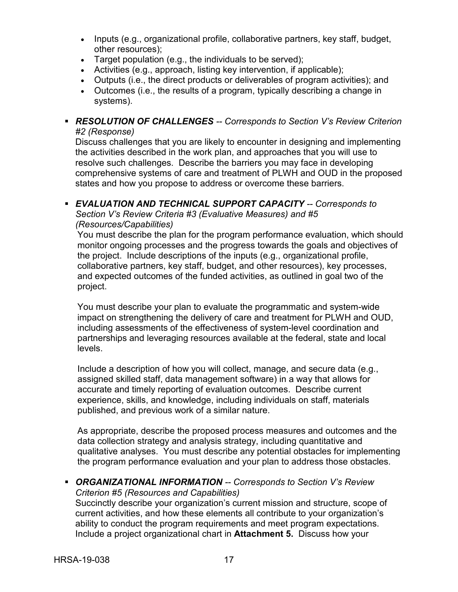- Inputs (e.g., organizational profile, collaborative partners, key staff, budget, other resources);
- Target population (e.g., the individuals to be served);
- Activities (e.g., approach, listing key intervention, if applicable);
- Outputs (i.e., the direct products or deliverables of program activities); and
- Outcomes (i.e., the results of a program, typically describing a change in systems).

#### *RESOLUTION OF CHALLENGES -- Corresponds to Section V's Review Criterion #2 (Response)*

Discuss challenges that you are likely to encounter in designing and implementing the activities described in the work plan, and approaches that you will use to resolve such challenges. Describe the barriers you may face in developing comprehensive systems of care and treatment of PLWH and OUD in the proposed states and how you propose to address or overcome these barriers.

#### *EVALUATION AND TECHNICAL SUPPORT CAPACITY -- Corresponds to Section V's Review Criteria #3 (Evaluative Measures) and #5*

#### *(Resources/Capabilities)*

You must describe the plan for the program performance evaluation, which should monitor ongoing processes and the progress towards the goals and objectives of the project. Include descriptions of the inputs (e.g., organizational profile, collaborative partners, key staff, budget, and other resources), key processes, and expected outcomes of the funded activities, as outlined in goal two of the project.

You must describe your plan to evaluate the programmatic and system-wide impact on strengthening the delivery of care and treatment for PLWH and OUD, including assessments of the effectiveness of system-level coordination and partnerships and leveraging resources available at the federal, state and local levels.

Include a description of how you will collect, manage, and secure data (e.g., assigned skilled staff, data management software) in a way that allows for accurate and timely reporting of evaluation outcomes. Describe current experience, skills, and knowledge, including individuals on staff, materials published, and previous work of a similar nature.

As appropriate, describe the proposed process measures and outcomes and the data collection strategy and analysis strategy, including quantitative and qualitative analyses. You must describe any potential obstacles for implementing the program performance evaluation and your plan to address those obstacles.

 *ORGANIZATIONAL INFORMATION -- Corresponds to Section V's Review Criterion #5 (Resources and Capabilities)* Succinctly describe your organization's current mission and structure, scope of current activities, and how these elements all contribute to your organization's

ability to conduct the program requirements and meet program expectations. Include a project organizational chart in **Attachment 5.** Discuss how your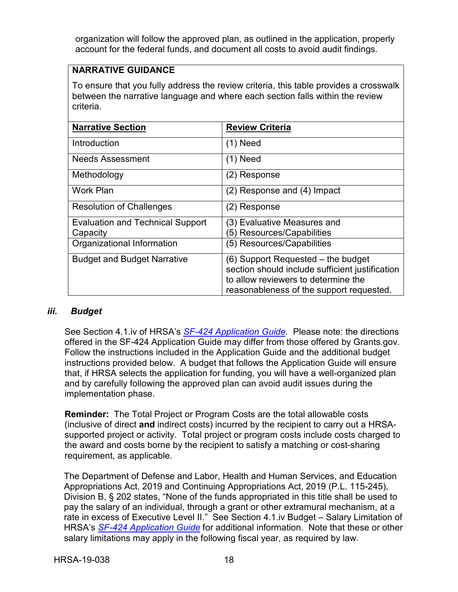organization will follow the approved plan, as outlined in the application, properly account for the federal funds, and document all costs to avoid audit findings.

### **NARRATIVE GUIDANCE**

To ensure that you fully address the review criteria, this table provides a crosswalk between the narrative language and where each section falls within the review criteria.

| <b>Narrative Section</b>                | <b>Review Criteria</b>                          |
|-----------------------------------------|-------------------------------------------------|
| Introduction                            | $(1)$ Need                                      |
| <b>Needs Assessment</b>                 | $(1)$ Need                                      |
| Methodology                             | (2) Response                                    |
| <b>Work Plan</b>                        | $(2)$ Response and $(4)$ Impact                 |
| <b>Resolution of Challenges</b>         | (2) Response                                    |
| <b>Evaluation and Technical Support</b> | (3) Evaluative Measures and                     |
| Capacity                                | (5) Resources/Capabilities                      |
| Organizational Information              | (5) Resources/Capabilities                      |
| <b>Budget and Budget Narrative</b>      | (6) Support Requested – the budget              |
|                                         | section should include sufficient justification |
|                                         | to allow reviewers to determine the             |
|                                         | reasonableness of the support requested.        |

#### <span id="page-21-0"></span>*iii. Budget*

See Section 4.1.iv of HRSA's *SF-424 [Application Guide.](http://www.hrsa.gov/grants/apply/applicationguide/sf424guide.pdf)* Please note: the directions offered in the SF-424 Application Guide may differ from those offered by Grants.gov. Follow the instructions included in the Application Guide and the additional budget instructions provided below. A budget that follows the Application Guide will ensure that, if HRSA selects the application for funding, you will have a well-organized plan and by carefully following the approved plan can avoid audit issues during the implementation phase.

**Reminder:** The Total Project or Program Costs are the total allowable costs (inclusive of direct **and** indirect costs) incurred by the recipient to carry out a HRSAsupported project or activity. Total project or program costs include costs charged to the award and costs borne by the recipient to satisfy a matching or cost-sharing requirement, as applicable.

The Department of Defense and Labor, Health and Human Services, and Education Appropriations Act, 2019 and Continuing Appropriations Act, 2019 (P.L. 115-245), Division B, § 202 states, "None of the funds appropriated in this title shall be used to pay the salary of an individual, through a grant or other extramural mechanism, at a rate in excess of Executive Level II." See Section 4.1.iv Budget – Salary Limitation of HRSA's *SF-424 [Application Guide](http://www.hrsa.gov/grants/apply/applicationguide/sf424guide.pdf)* for additional information. Note that these or other salary limitations may apply in the following fiscal year, as required by law.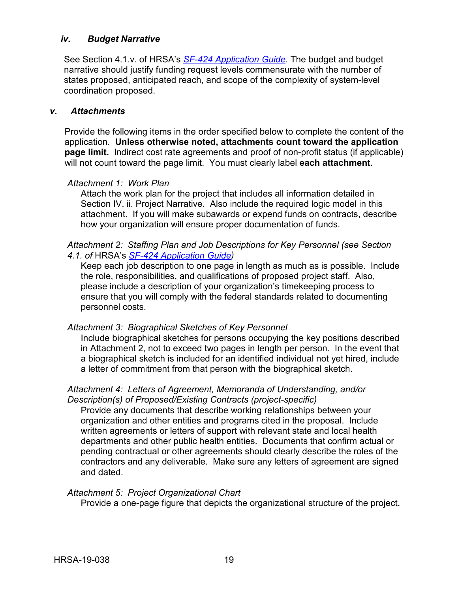#### <span id="page-22-0"></span>*iv. Budget Narrative*

See Section 4.1.v. of HRSA's *SF-424 [Application Guide.](http://www.hrsa.gov/grants/apply/applicationguide/sf424guide.pdf)* The budget and budget narrative should justify funding request levels commensurate with the number of states proposed, anticipated reach, and scope of the complexity of system-level coordination proposed.

#### <span id="page-22-1"></span>*v. Attachments*

Provide the following items in the order specified below to complete the content of the application. **Unless otherwise noted, attachments count toward the application page limit.** Indirect cost rate agreements and proof of non-profit status (if applicable) will not count toward the page limit. You must clearly label **each attachment**.

#### *Attachment 1: Work Plan*

Attach the work plan for the project that includes all information detailed in Section IV. ii. Project Narrative. Also include the required logic model in this attachment. If you will make subawards or expend funds on contracts, describe how your organization will ensure proper documentation of funds.

#### *Attachment 2: Staffing Plan and Job Descriptions for Key Personnel (see Section 4.1. of* HRSA's *SF-424 [Application Guide\)](http://www.hrsa.gov/grants/apply/applicationguide/sf424guide.pdf)*

Keep each job description to one page in length as much as is possible. Include the role, responsibilities, and qualifications of proposed project staff. Also, please include a description of your organization's timekeeping process to ensure that you will comply with the federal standards related to documenting personnel costs.

#### *Attachment 3: Biographical Sketches of Key Personnel*

Include biographical sketches for persons occupying the key positions described in Attachment 2, not to exceed two pages in length per person. In the event that a biographical sketch is included for an identified individual not yet hired, include a letter of commitment from that person with the biographical sketch.

#### *Attachment 4: Letters of Agreement, Memoranda of Understanding, and/or Description(s) of Proposed/Existing Contracts (project-specific)*

Provide any documents that describe working relationships between your organization and other entities and programs cited in the proposal. Include written agreements or letters of support with relevant state and local health departments and other public health entities. Documents that confirm actual or pending contractual or other agreements should clearly describe the roles of the contractors and any deliverable. Make sure any letters of agreement are signed and dated.

#### *Attachment 5: Project Organizational Chart*

Provide a one-page figure that depicts the organizational structure of the project.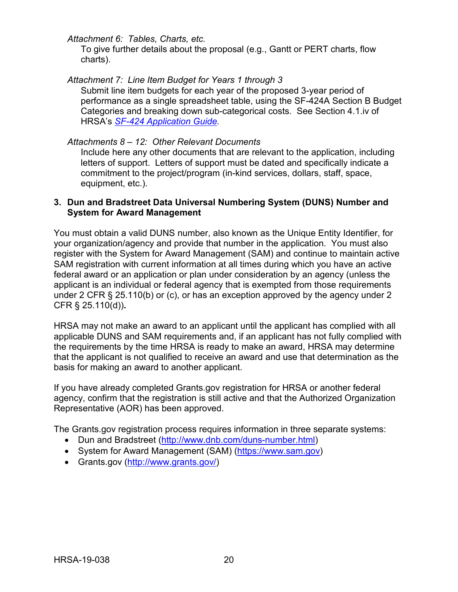*Attachment 6: Tables, Charts, etc.*

To give further details about the proposal (e.g., Gantt or PERT charts, flow charts).

*Attachment 7: Line Item Budget for Years 1 through 3*

Submit line item budgets for each year of the proposed 3-year period of performance as a single spreadsheet table, using the SF-424A Section B Budget Categories and breaking down sub-categorical costs. See Section 4.1.iv of HRSA's *SF-424 [Application Guide.](http://www.hrsa.gov/grants/apply/applicationguide/sf424guide.pdf)*

### *Attachments 8 – 12: Other Relevant Documents*

Include here any other documents that are relevant to the application, including letters of support. Letters of support must be dated and specifically indicate a commitment to the project/program (in-kind services, dollars, staff, space, equipment, etc.).

#### <span id="page-23-0"></span>**3. Dun and Bradstreet Data Universal Numbering System (DUNS) Number and System for Award Management**

You must obtain a valid DUNS number, also known as the Unique Entity Identifier, for your organization/agency and provide that number in the application. You must also register with the System for Award Management (SAM) and continue to maintain active SAM registration with current information at all times during which you have an active federal award or an application or plan under consideration by an agency (unless the applicant is an individual or federal agency that is exempted from those requirements under 2 CFR § 25.110(b) or (c), or has an exception approved by the agency under 2 CFR § 25.110(d))**.**

HRSA may not make an award to an applicant until the applicant has complied with all applicable DUNS and SAM requirements and, if an applicant has not fully complied with the requirements by the time HRSA is ready to make an award, HRSA may determine that the applicant is not qualified to receive an award and use that determination as the basis for making an award to another applicant.

If you have already completed Grants.gov registration for HRSA or another federal agency, confirm that the registration is still active and that the Authorized Organization Representative (AOR) has been approved.

The Grants.gov registration process requires information in three separate systems:

- Dun and Bradstreet [\(http://www.dnb.com/duns-number.html\)](http://www.dnb.com/duns-number.html)
- System for Award Management (SAM) [\(https://www.sam.gov\)](https://www.sam.gov/)
- Grants.gov [\(http://www.grants.gov/\)](http://www.grants.gov/)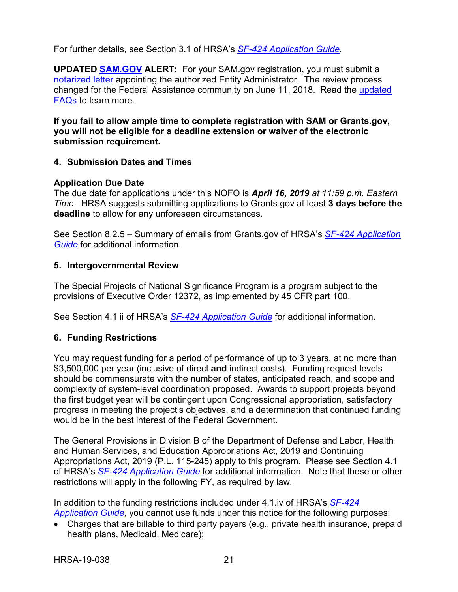For further details, see Section 3.1 of HRSA's *SF-424 [Application Guide.](http://www.hrsa.gov/grants/apply/applicationguide/sf424guide.pdf)*

**UPDATED [SAM.GOV](http://sam.gov/) ALERT:** For your SAM.gov registration, you must submit a [notarized letter](https://www.fsd.gov/fsd-gov/answer.do?sysparm_kbid=d2e67885db0d5f00b3257d321f96194b&sysparm_search=kb0013183) appointing the authorized Entity Administrator. The review process changed for the Federal Assistance community on June 11, 2018. Read the [updated](https://www.gsa.gov/about-us/organization/federal-acquisition-service/office-of-systems-management/integrated-award-environment-iae/sam-update)  [FAQs](https://www.gsa.gov/about-us/organization/federal-acquisition-service/office-of-systems-management/integrated-award-environment-iae/sam-update) to learn more.

**If you fail to allow ample time to complete registration with SAM or Grants.gov, you will not be eligible for a deadline extension or waiver of the electronic submission requirement.**

### <span id="page-24-0"></span>**4. Submission Dates and Times**

### **Application Due Date**

The due date for applications under this NOFO is *April 16, 2019 at 11:59 p.m. Eastern Time*. HRSA suggests submitting applications to Grants.gov at least **3 days before the deadline** to allow for any unforeseen circumstances.

See Section 8.2.5 – Summary of emails from Grants.gov of HRSA's *[SF-424 Application](http://www.hrsa.gov/grants/apply/applicationguide/sf424guide.pdf)  [Guide](http://www.hrsa.gov/grants/apply/applicationguide/sf424guide.pdf)* for additional information.

### <span id="page-24-1"></span>**5. Intergovernmental Review**

The Special Projects of National Significance Program is a program subject to the provisions of Executive Order 12372, as implemented by 45 CFR part 100.

See Section 4.1 ii of HRSA's *SF-424 [Application Guide](http://www.hrsa.gov/grants/apply/applicationguide/sf424guide.pdf)* for additional information.

## <span id="page-24-2"></span>**6. Funding Restrictions**

You may request funding for a period of performance of up to 3 years, at no more than \$3,500,000 per year (inclusive of direct **and** indirect costs). Funding request levels should be commensurate with the number of states, anticipated reach, and scope and complexity of system-level coordination proposed. Awards to support projects beyond the first budget year will be contingent upon Congressional appropriation, satisfactory progress in meeting the project's objectives, and a determination that continued funding would be in the best interest of the Federal Government.

The General Provisions in Division B of the Department of Defense and Labor, Health and Human Services, and Education Appropriations Act, 2019 and Continuing Appropriations Act, 2019 (P.L. 115-245) apply to this program. Please see Section 4.1 of HRSA's *[SF-424 Application Guide](http://www.hrsa.gov/grants/apply/applicationguide/sf424guide.pdf)* for additional information. Note that these or other restrictions will apply in the following FY, as required by law.

In addition to the funding restrictions included under 4.1.iv of HRSA's *[SF-424](https://www.hrsa.gov/sites/default/files/hrsa/grants/apply/applicationguide/sf-424-guide.pdf)  [Application Guide](https://www.hrsa.gov/sites/default/files/hrsa/grants/apply/applicationguide/sf-424-guide.pdf)*, you cannot use funds under this notice for the following purposes:

• Charges that are billable to third party payers (e.g., private health insurance, prepaid health plans, Medicaid, Medicare);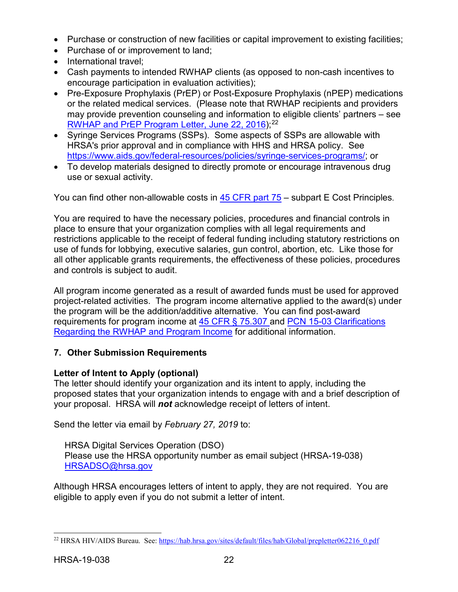- Purchase or construction of new facilities or capital improvement to existing facilities;
- Purchase of or improvement to land;
- International travel:
- Cash payments to intended RWHAP clients (as opposed to non-cash incentives to encourage participation in evaluation activities);
- Pre-Exposure Prophylaxis (PrEP) or Post-Exposure Prophylaxis (nPEP) medications or the related medical services. (Please note that RWHAP recipients and providers may provide prevention counseling and information to eligible clients' partners – see [RWHAP and PrEP Program Letter, June 22, 2016\)](https://hab.hrsa.gov/sites/default/files/hab/Global/prepletter062216_0.pdf); [22](#page-25-1)
- Syringe Services Programs (SSPs). Some aspects of SSPs are allowable with HRSA's prior approval and in compliance with HHS and HRSA policy. See [https://www.aids.gov/federal-resources/policies/syringe-services-programs/;](https://www.aids.gov/federal-resources/policies/syringe-services-programs/) or
- To develop materials designed to directly promote or encourage intravenous drug use or sexual activity.

You can find other non-allowable costs in [45 CFR part 75](https://www.ecfr.gov/cgi-bin/retrieveECFR?gp=1&SID=4d52364ec83fab994c665943dadf9cf7&ty=HTML&h=L&r=PART&n=pt45.1.75) – subpart E Cost Principles.

You are required to have the necessary policies, procedures and financial controls in place to ensure that your organization complies with all legal requirements and restrictions applicable to the receipt of federal funding including statutory restrictions on use of funds for lobbying, executive salaries, gun control, abortion, etc. Like those for all other applicable grants requirements, the effectiveness of these policies, procedures and controls is subject to audit.

All program income generated as a result of awarded funds must be used for approved project-related activities. The program income alternative applied to the award(s) under the program will be the addition/additive alternative. You can find post-award requirements for program income at [45 CFR § 75.307](https://www.ecfr.gov/cgi-bin/retrieveECFR?gp=1&SID=4d52364ec83fab994c665943dadf9cf7&ty=HTML&h=L&r=PART&n=pt45.1.75) and [PCN 15-03 Clarifications](https://hab.hrsa.gov/sites/default/files/hab/Global/pcn_15-03_program_income.pdf)  [Regarding the RWHAP and Program Income](https://hab.hrsa.gov/sites/default/files/hab/Global/pcn_15-03_program_income.pdf) for additional information.

## <span id="page-25-0"></span>**7. Other Submission Requirements**

## **Letter of Intent to Apply (optional)**

The letter should identify your organization and its intent to apply, including the proposed states that your organization intends to engage with and a brief description of your proposal. HRSA will *not* acknowledge receipt of letters of intent.

Send the letter via email by *February 27, 2019* to:

HRSA Digital Services Operation (DSO) Please use the HRSA opportunity number as email subject (HRSA-19-038) [HRSADSO@hrsa.gov](mailto:HRSADSO@hrsa.gov)

Although HRSA encourages letters of intent to apply, they are not required. You are eligible to apply even if you do not submit a letter of intent.

<span id="page-25-1"></span><sup>&</sup>lt;sup>22</sup> HRSA HIV/AIDS Bureau. See[: https://hab.hrsa.gov/sites/default/files/hab/Global/prepletter062216\\_0.pdf](https://hab.hrsa.gov/sites/default/files/hab/Global/prepletter062216_0.pdf)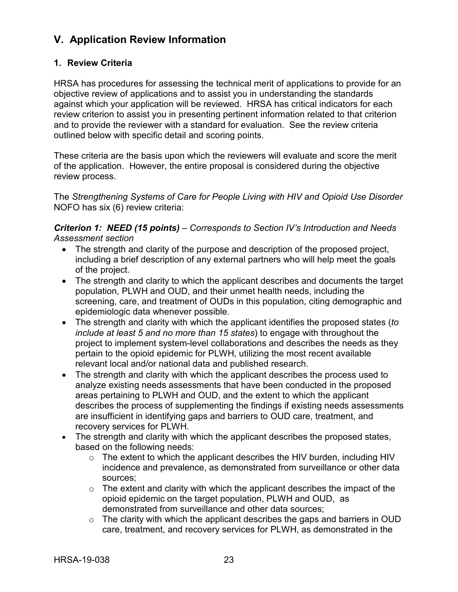## <span id="page-26-0"></span>**V. Application Review Information**

### <span id="page-26-1"></span>**1. Review Criteria**

HRSA has procedures for assessing the technical merit of applications to provide for an objective review of applications and to assist you in understanding the standards against which your application will be reviewed. HRSA has critical indicators for each review criterion to assist you in presenting pertinent information related to that criterion and to provide the reviewer with a standard for evaluation. See the review criteria outlined below with specific detail and scoring points.

These criteria are the basis upon which the reviewers will evaluate and score the merit of the application. However, the entire proposal is considered during the objective review process.

The *Strengthening Systems of Care for People Living with HIV and Opioid Use Disorder*  NOFO has six (6) review criteria:

*Criterion 1: NEED (15 points) – Corresponds to Section IV's Introduction and Needs Assessment section*

- The strength and clarity of the purpose and description of the proposed project, including a brief description of any external partners who will help meet the goals of the project.
- The strength and clarity to which the applicant describes and documents the target population, PLWH and OUD, and their unmet health needs, including the screening, care, and treatment of OUDs in this population, citing demographic and epidemiologic data whenever possible.
- The strength and clarity with which the applicant identifies the proposed states (*to include at least 5 and no more than 15 states*) to engage with throughout the project to implement system-level collaborations and describes the needs as they pertain to the opioid epidemic for PLWH, utilizing the most recent available relevant local and/or national data and published research.
- The strength and clarity with which the applicant describes the process used to analyze existing needs assessments that have been conducted in the proposed areas pertaining to PLWH and OUD, and the extent to which the applicant describes the process of supplementing the findings if existing needs assessments are insufficient in identifying gaps and barriers to OUD care, treatment, and recovery services for PLWH.
- The strength and clarity with which the applicant describes the proposed states, based on the following needs:
	- o The extent to which the applicant describes the HIV burden, including HIV incidence and prevalence, as demonstrated from surveillance or other data sources;
	- $\circ$  The extent and clarity with which the applicant describes the impact of the opioid epidemic on the target population, PLWH and OUD, as demonstrated from surveillance and other data sources;
	- $\circ$  The clarity with which the applicant describes the gaps and barriers in OUD care, treatment, and recovery services for PLWH, as demonstrated in the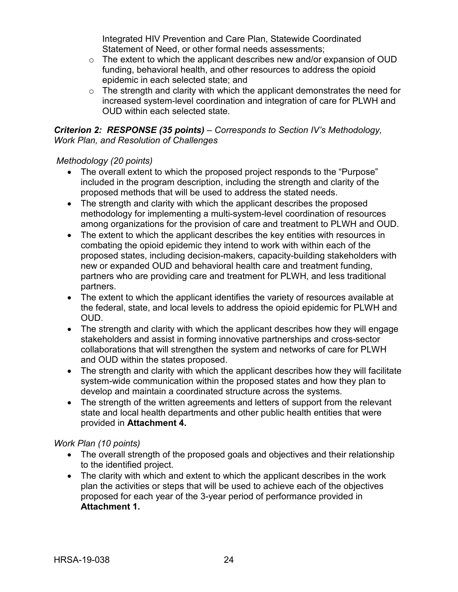Integrated HIV Prevention and Care Plan, Statewide Coordinated Statement of Need, or other formal needs assessments;

- o The extent to which the applicant describes new and/or expansion of OUD funding, behavioral health, and other resources to address the opioid epidemic in each selected state; and
- $\circ$  The strength and clarity with which the applicant demonstrates the need for increased system-level coordination and integration of care for PLWH and OUD within each selected state.

*Criterion 2: RESPONSE (35 points) – Corresponds to Section IV's Methodology, Work Plan, and Resolution of Challenges*

## *Methodology (20 points)*

- The overall extent to which the proposed project responds to the "Purpose" included in the program description, including the strength and clarity of the proposed methods that will be used to address the stated needs.
- The strength and clarity with which the applicant describes the proposed methodology for implementing a multi-system-level coordination of resources among organizations for the provision of care and treatment to PLWH and OUD.
- The extent to which the applicant describes the key entities with resources in combating the opioid epidemic they intend to work with within each of the proposed states, including decision-makers, capacity-building stakeholders with new or expanded OUD and behavioral health care and treatment funding, partners who are providing care and treatment for PLWH, and less traditional partners.
- The extent to which the applicant identifies the variety of resources available at the federal, state, and local levels to address the opioid epidemic for PLWH and OUD.
- The strength and clarity with which the applicant describes how they will engage stakeholders and assist in forming innovative partnerships and cross-sector collaborations that will strengthen the system and networks of care for PLWH and OUD within the states proposed.
- The strength and clarity with which the applicant describes how they will facilitate system-wide communication within the proposed states and how they plan to develop and maintain a coordinated structure across the systems.
- The strength of the written agreements and letters of support from the relevant state and local health departments and other public health entities that were provided in **Attachment 4.**

## *Work Plan (10 points)*

- The overall strength of the proposed goals and objectives and their relationship to the identified project.
- The clarity with which and extent to which the applicant describes in the work plan the activities or steps that will be used to achieve each of the objectives proposed for each year of the 3-year period of performance provided in **Attachment 1.**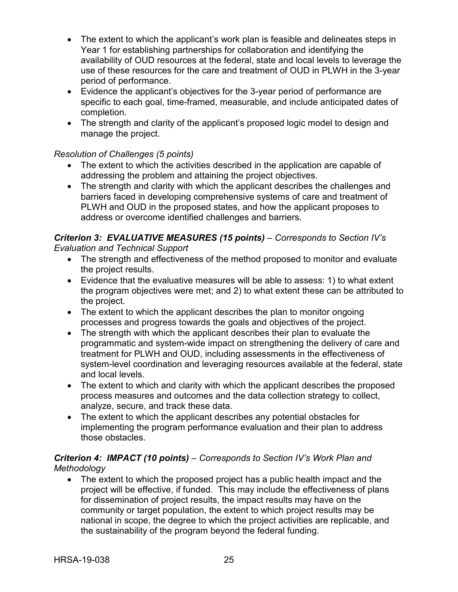- The extent to which the applicant's work plan is feasible and delineates steps in Year 1 for establishing partnerships for collaboration and identifying the availability of OUD resources at the federal, state and local levels to leverage the use of these resources for the care and treatment of OUD in PLWH in the 3-year period of performance.
- Evidence the applicant's objectives for the 3-year period of performance are specific to each goal, time-framed, measurable, and include anticipated dates of completion.
- The strength and clarity of the applicant's proposed logic model to design and manage the project.

## *Resolution of Challenges (5 points)*

- The extent to which the activities described in the application are capable of addressing the problem and attaining the project objectives.
- The strength and clarity with which the applicant describes the challenges and barriers faced in developing comprehensive systems of care and treatment of PLWH and OUD in the proposed states, and how the applicant proposes to address or overcome identified challenges and barriers.

## *Criterion 3: EVALUATIVE MEASURES (15 points) – Corresponds to Section IV's Evaluation and Technical Support*

- The strength and effectiveness of the method proposed to monitor and evaluate the project results.
- Evidence that the evaluative measures will be able to assess: 1) to what extent the program objectives were met; and 2) to what extent these can be attributed to the project.
- The extent to which the applicant describes the plan to monitor ongoing processes and progress towards the goals and objectives of the project.
- The strength with which the applicant describes their plan to evaluate the programmatic and system-wide impact on strengthening the delivery of care and treatment for PLWH and OUD, including assessments in the effectiveness of system-level coordination and leveraging resources available at the federal, state and local levels.
- The extent to which and clarity with which the applicant describes the proposed process measures and outcomes and the data collection strategy to collect, analyze, secure, and track these data.
- The extent to which the applicant describes any potential obstacles for implementing the program performance evaluation and their plan to address those obstacles.

## *Criterion 4: IMPACT (10 points) – Corresponds to Section IV's Work Plan and Methodology*

• The extent to which the proposed project has a public health impact and the project will be effective, if funded. This may include the effectiveness of plans for dissemination of project results, the impact results may have on the community or target population, the extent to which project results may be national in scope, the degree to which the project activities are replicable, and the sustainability of the program beyond the federal funding.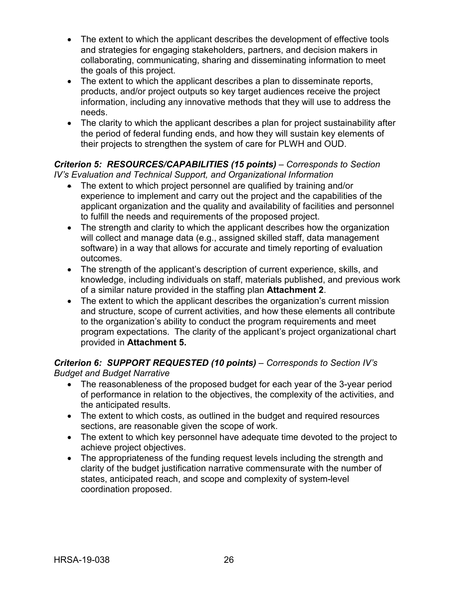- The extent to which the applicant describes the development of effective tools and strategies for engaging stakeholders, partners, and decision makers in collaborating, communicating, sharing and disseminating information to meet the goals of this project.
- The extent to which the applicant describes a plan to disseminate reports, products, and/or project outputs so key target audiences receive the project information, including any innovative methods that they will use to address the needs.
- The clarity to which the applicant describes a plan for project sustainability after the period of federal funding ends, and how they will sustain key elements of their projects to strengthen the system of care for PLWH and OUD.

## *Criterion 5: RESOURCES/CAPABILITIES (15 points) – Corresponds to Section IV's Evaluation and Technical Support, and Organizational Information*

- The extent to which project personnel are qualified by training and/or experience to implement and carry out the project and the capabilities of the applicant organization and the quality and availability of facilities and personnel to fulfill the needs and requirements of the proposed project.
- The strength and clarity to which the applicant describes how the organization will collect and manage data (e.g., assigned skilled staff, data management software) in a way that allows for accurate and timely reporting of evaluation outcomes.
- The strength of the applicant's description of current experience, skills, and knowledge, including individuals on staff, materials published, and previous work of a similar nature provided in the staffing plan **Attachment 2**.
- The extent to which the applicant describes the organization's current mission and structure, scope of current activities, and how these elements all contribute to the organization's ability to conduct the program requirements and meet program expectations. The clarity of the applicant's project organizational chart provided in **Attachment 5.**

## *Criterion 6: SUPPORT REQUESTED (10 points) – Corresponds to Section IV's Budget and Budget Narrative*

- The reasonableness of the proposed budget for each year of the 3-year period of performance in relation to the objectives, the complexity of the activities, and the anticipated results.
- The extent to which costs, as outlined in the budget and required resources sections, are reasonable given the scope of work.
- The extent to which key personnel have adequate time devoted to the project to achieve project objectives.
- The appropriateness of the funding request levels including the strength and clarity of the budget justification narrative commensurate with the number of states, anticipated reach, and scope and complexity of system-level coordination proposed.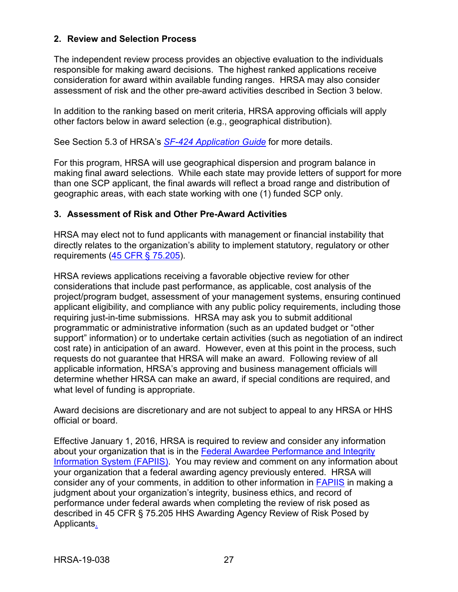### <span id="page-30-0"></span>**2. Review and Selection Process**

The independent review process provides an objective evaluation to the individuals responsible for making award decisions. The highest ranked applications receive consideration for award within available funding ranges. HRSA may also consider assessment of risk and the other pre-award activities described in Section 3 below.

In addition to the ranking based on merit criteria, HRSA approving officials will apply other factors below in award selection (e.g., geographical distribution).

See Section 5.3 of HRSA's *SF-424 [Application Guide](http://www.hrsa.gov/grants/apply/applicationguide/sf424guide.pdf)* for more details.

For this program, HRSA will use geographical dispersion and program balance in making final award selections. While each state may provide letters of support for more than one SCP applicant, the final awards will reflect a broad range and distribution of geographic areas, with each state working with one (1) funded SCP only.

#### <span id="page-30-1"></span>**3. Assessment of Risk and Other Pre-Award Activities**

HRSA may elect not to fund applicants with management or financial instability that directly relates to the organization's ability to implement statutory, regulatory or other requirements [\(45 CFR § 75.205\)](https://www.ecfr.gov/cgi-bin/retrieveECFR?gp=1&SID=4d52364ec83fab994c665943dadf9cf7&ty=HTML&h=L&r=PART&n=pt45.1.75).

HRSA reviews applications receiving a favorable objective review for other considerations that include past performance, as applicable, cost analysis of the project/program budget, assessment of your management systems, ensuring continued applicant eligibility, and compliance with any public policy requirements, including those requiring just-in-time submissions. HRSA may ask you to submit additional programmatic or administrative information (such as an updated budget or "other support" information) or to undertake certain activities (such as negotiation of an indirect cost rate) in anticipation of an award. However, even at this point in the process, such requests do not guarantee that HRSA will make an award. Following review of all applicable information, HRSA's approving and business management officials will determine whether HRSA can make an award, if special conditions are required, and what level of funding is appropriate.

Award decisions are discretionary and are not subject to appeal to any HRSA or HHS official or board.

Effective January 1, 2016, HRSA is required to review and consider any information about your organization that is in the [Federal Awardee Performance and Integrity](https://www.fapiis.gov/)  [Information System \(FAPIIS\).](https://www.fapiis.gov/) You may review and comment on any information about your organization that a federal awarding agency previously entered. HRSA will consider any of your comments, in addition to other information in [FAPIIS](https://www.fapiis.gov/) in making a judgment about your organization's integrity, business ethics, and record of performance under federal awards when completing the review of risk posed as described in [45 CFR § 75.205 HHS Awarding Agency](https://www.ecfr.gov/cgi-bin/retrieveECFR?gp=1&SID=4d52364ec83fab994c665943dadf9cf7&ty=HTML&h=L&r=PART&n=pt45.1.75) Review of Risk Posed by [Applicants.](https://www.ecfr.gov/cgi-bin/retrieveECFR?gp=1&SID=4d52364ec83fab994c665943dadf9cf7&ty=HTML&h=L&r=PART&n=pt45.1.75)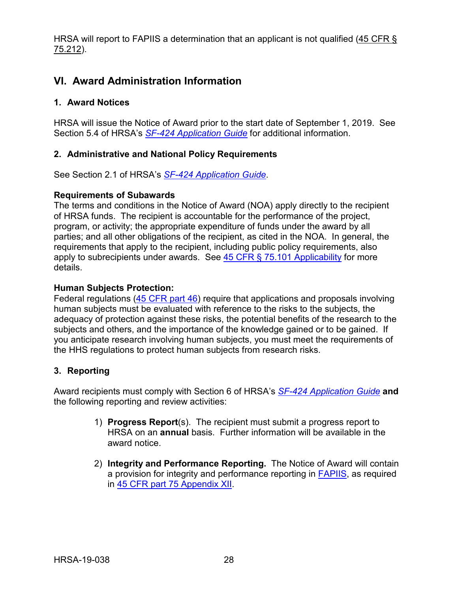HRSA will report to FAPIIS a determination that an applicant is not qualified [\(45 CFR §](https://www.ecfr.gov/cgi-bin/retrieveECFR?gp=1&SID=4d52364ec83fab994c665943dadf9cf7&ty=HTML&h=L&r=PART&n=pt45.1.75) [75.212\)](https://www.ecfr.gov/cgi-bin/retrieveECFR?gp=1&SID=4d52364ec83fab994c665943dadf9cf7&ty=HTML&h=L&r=PART&n=pt45.1.75).

## <span id="page-31-0"></span>**VI. Award Administration Information**

### <span id="page-31-1"></span>**1. Award Notices**

HRSA will issue the Notice of Award prior to the start date of September 1, 2019. See Section 5.4 of HRSA's *SF-424 [Application Guide](http://www.hrsa.gov/grants/apply/applicationguide/sf424guide.pdf)* for additional information.

### <span id="page-31-2"></span>**2. Administrative and National Policy Requirements**

See Section 2.1 of HRSA's *SF-424 [Application Guide](http://www.hrsa.gov/grants/apply/applicationguide/sf424guide.pdf)*.

#### **Requirements of Subawards**

The terms and conditions in the Notice of Award (NOA) apply directly to the recipient of HRSA funds. The recipient is accountable for the performance of the project, program, or activity; the appropriate expenditure of funds under the award by all parties; and all other obligations of the recipient, as cited in the NOA. In general, the requirements that apply to the recipient, including public policy requirements, also apply to subrecipients under awards. See  $45$  CFR  $\S$  75.101 Applicability for more details.

### **Human Subjects Protection:**

Federal regulations [\(45 CFR part 46\)](https://www.ecfr.gov/cgi-bin/text-idx?SID=5ec405e535881de66e6f153cdf4cdcf8&mc=true&node=pt45.1.46&rgn=div5) require that applications and proposals involving human subjects must be evaluated with reference to the risks to the subjects, the adequacy of protection against these risks, the potential benefits of the research to the subjects and others, and the importance of the knowledge gained or to be gained. If you anticipate research involving human subjects, you must meet the requirements of the HHS regulations to protect human subjects from research risks.

## <span id="page-31-3"></span>**3. Reporting**

Award recipients must comply with Section 6 of HRSA's *SF-424 [Application Guide](http://www.hrsa.gov/grants/apply/applicationguide/sf424guide.pdf)* **and** the following reporting and review activities:

- 1) **Progress Report**(s). The recipient must submit a progress report to HRSA on an **annual** basis. Further information will be available in the award notice.
- 2) **Integrity and Performance Reporting.** The Notice of Award will contain a provision for integrity and performance reporting in [FAPIIS,](https://www.fapiis.gov/) as required in [45 CFR part 75 Appendix XII.](https://www.ecfr.gov/cgi-bin/retrieveECFR?gp=1&SID=4d52364ec83fab994c665943dadf9cf7&ty=HTML&h=L&r=PART&n=pt45.1.75)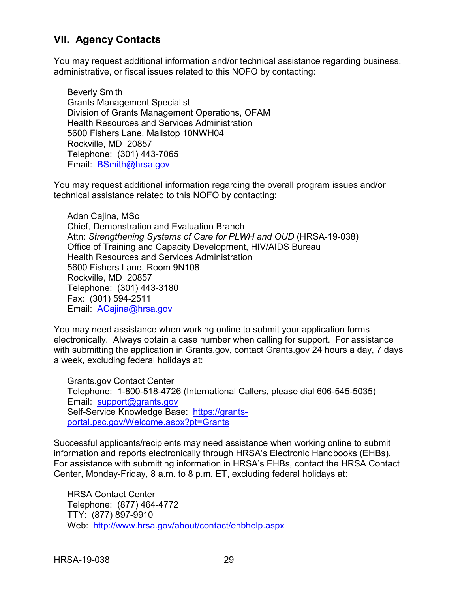## <span id="page-32-0"></span>**VII. Agency Contacts**

You may request additional information and/or technical assistance regarding business, administrative, or fiscal issues related to this NOFO by contacting:

Beverly Smith Grants Management Specialist Division of Grants Management Operations, OFAM Health Resources and Services Administration 5600 Fishers Lane, Mailstop 10NWH04 Rockville, MD 20857 Telephone: (301) 443-7065 Email: [BSmith@hrsa.gov](mailto:BSmith@hrsa.gov)

You may request additional information regarding the overall program issues and/or technical assistance related to this NOFO by contacting:

Adan Cajina, MSc Chief, Demonstration and Evaluation Branch Attn: *Strengthening Systems of Care for PLWH and OUD* (HRSA-19-038) Office of Training and Capacity Development, HIV/AIDS Bureau Health Resources and Services Administration 5600 Fishers Lane, Room 9N108 Rockville, MD 20857 Telephone: (301) 443-3180 Fax: (301) 594-2511 Email: [ACajina@hrsa.gov](mailto:ACajina@hrsa.gov)

You may need assistance when working online to submit your application forms electronically. Always obtain a case number when calling for support. For assistance with submitting the application in Grants.gov, contact Grants.gov 24 hours a day, 7 days a week, excluding federal holidays at:

Grants.gov Contact Center Telephone: 1-800-518-4726 (International Callers, please dial 606-545-5035) Email: [support@grants.gov](mailto:support@grants.gov) Self-Service Knowledge Base: [https://grants](https://grants-portal.psc.gov/Welcome.aspx?pt=Grants)[portal.psc.gov/Welcome.aspx?pt=Grants](https://grants-portal.psc.gov/Welcome.aspx?pt=Grants)

Successful applicants/recipients may need assistance when working online to submit information and reports electronically through HRSA's Electronic Handbooks (EHBs). For assistance with submitting information in HRSA's EHBs, contact the HRSA Contact Center, Monday-Friday, 8 a.m. to 8 p.m. ET, excluding federal holidays at:

HRSA Contact Center Telephone: (877) 464-4772 TTY: (877) 897-9910 Web: <http://www.hrsa.gov/about/contact/ehbhelp.aspx>